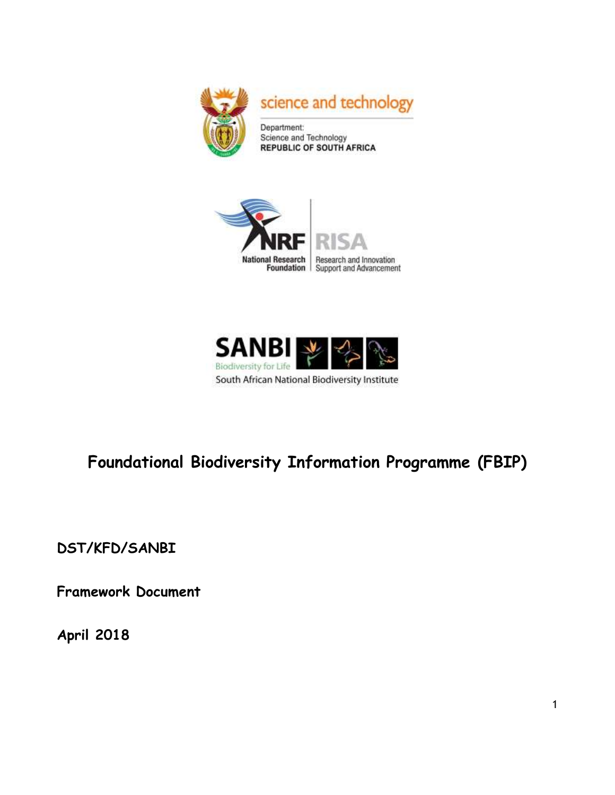





# **Foundational Biodiversity Information Programme (FBIP)**

**DST/KFD/SANBI**

**Framework Document**

**April 2018**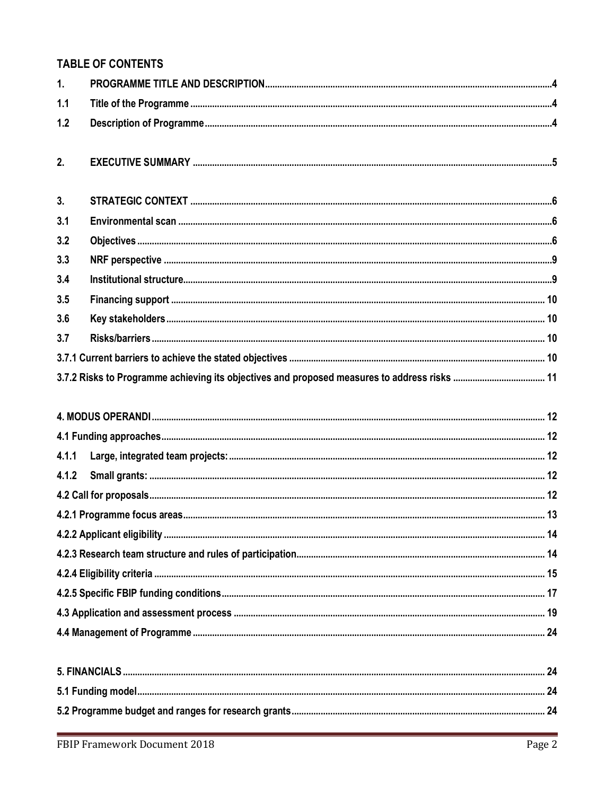# **TABLE OF CONTENTS**

| 1.             |  |
|----------------|--|
| 1.1            |  |
| 1.2            |  |
| 2.             |  |
| 3 <sub>1</sub> |  |
| 3.1            |  |
| 3.2            |  |
| 3.3            |  |
| 3.4            |  |
| 3.5            |  |
| 3.6            |  |
| 3.7            |  |
|                |  |
|                |  |
|                |  |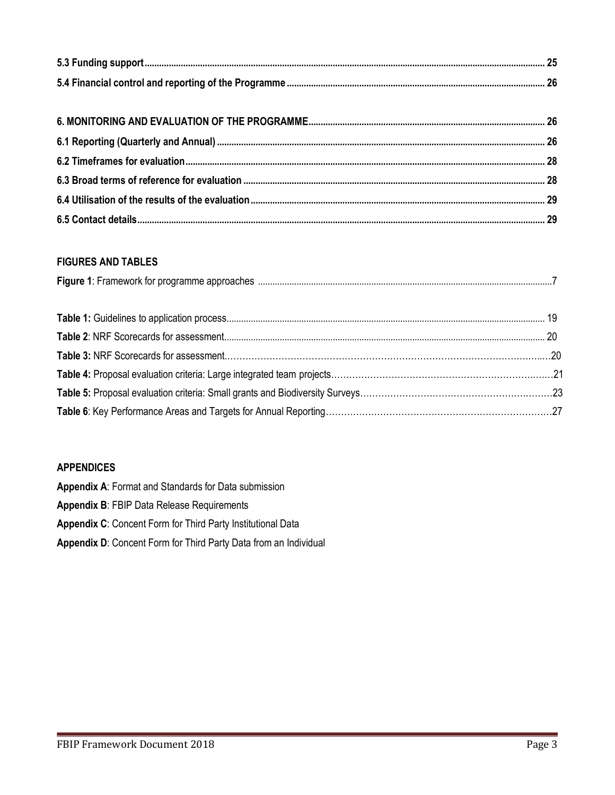## **FIGURES AND TABLES**

| Figure 1: | the contract of the contract of the contract of the contract of the contract of the contract of the contract of |  |
|-----------|-----------------------------------------------------------------------------------------------------------------|--|
|           |                                                                                                                 |  |

## **APPENDICES**

**Appendix A**: Format and Standards for Data submission

**Appendix B**: FBIP Data Release Requirements

**Appendix C**: Concent Form for Third Party Institutional Data

**Appendix D**: Concent Form for Third Party Data from an Individual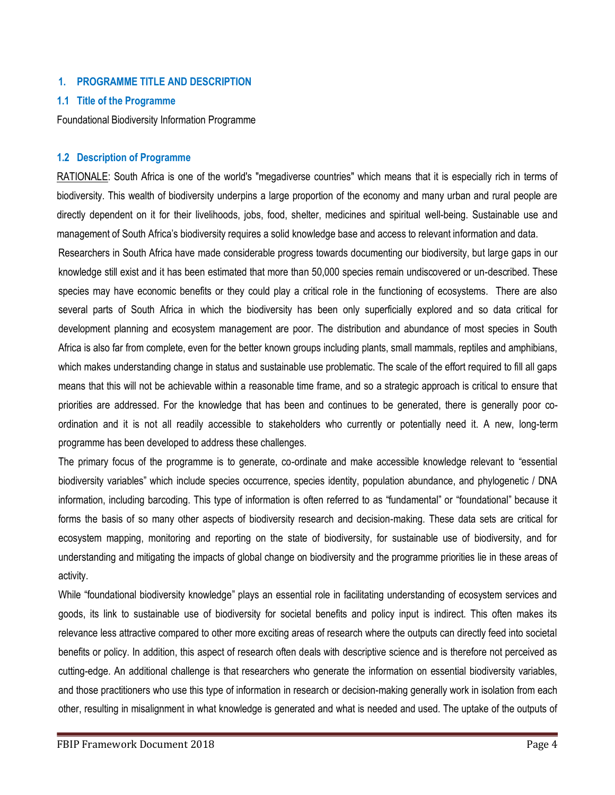#### <span id="page-3-0"></span>**1. PROGRAMME TITLE AND DESCRIPTION**

#### <span id="page-3-1"></span>**1.1 Title of the Programme**

Foundational Biodiversity Information Programme

#### <span id="page-3-2"></span>**1.2 Description of Programme**

RATIONALE: South Africa is one of the world's "megadiverse countries" which means that it is especially rich in terms of biodiversity. This wealth of biodiversity underpins a large proportion of the economy and many urban and rural people are directly dependent on it for their livelihoods, jobs, food, shelter, medicines and spiritual well-being. Sustainable use and management of South Africa's biodiversity requires a solid knowledge base and access to relevant information and data.

Researchers in South Africa have made considerable progress towards documenting our biodiversity, but large gaps in our knowledge still exist and it has been estimated that more than 50,000 species remain undiscovered or un-described. These species may have economic benefits or they could play a critical role in the functioning of ecosystems. There are also several parts of South Africa in which the biodiversity has been only superficially explored and so data critical for development planning and ecosystem management are poor. The distribution and abundance of most species in South Africa is also far from complete, even for the better known groups including plants, small mammals, reptiles and amphibians, which makes understanding change in status and sustainable use problematic. The scale of the effort required to fill all gaps means that this will not be achievable within a reasonable time frame, and so a strategic approach is critical to ensure that priorities are addressed. For the knowledge that has been and continues to be generated, there is generally poor coordination and it is not all readily accessible to stakeholders who currently or potentially need it. A new, long-term programme has been developed to address these challenges.

The primary focus of the programme is to generate, co-ordinate and make accessible knowledge relevant to "essential biodiversity variables" which include species occurrence, species identity, population abundance, and phylogenetic / DNA information, including barcoding. This type of information is often referred to as "fundamental" or "foundational" because it forms the basis of so many other aspects of biodiversity research and decision-making. These data sets are critical for ecosystem mapping, monitoring and reporting on the state of biodiversity, for sustainable use of biodiversity, and for understanding and mitigating the impacts of global change on biodiversity and the programme priorities lie in these areas of activity.

While "foundational biodiversity knowledge" plays an essential role in facilitating understanding of ecosystem services and goods, its link to sustainable use of biodiversity for societal benefits and policy input is indirect. This often makes its relevance less attractive compared to other more exciting areas of research where the outputs can directly feed into societal benefits or policy. In addition, this aspect of research often deals with descriptive science and is therefore not perceived as cutting-edge. An additional challenge is that researchers who generate the information on essential biodiversity variables, and those practitioners who use this type of information in research or decision-making generally work in isolation from each other, resulting in misalignment in what knowledge is generated and what is needed and used. The uptake of the outputs of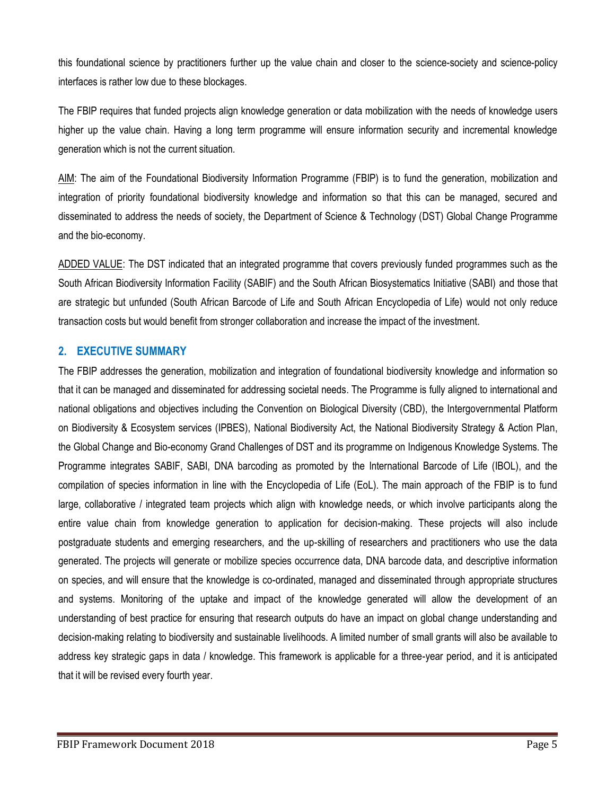this foundational science by practitioners further up the value chain and closer to the science-society and science-policy interfaces is rather low due to these blockages.

The FBIP requires that funded projects align knowledge generation or data mobilization with the needs of knowledge users higher up the value chain. Having a long term programme will ensure information security and incremental knowledge generation which is not the current situation.

AIM: The aim of the Foundational Biodiversity Information Programme (FBIP) is to fund the generation, mobilization and integration of priority foundational biodiversity knowledge and information so that this can be managed, secured and disseminated to address the needs of society, the Department of Science & Technology (DST) Global Change Programme and the bio-economy.

ADDED VALUE: The DST indicated that an integrated programme that covers previously funded programmes such as the South African Biodiversity Information Facility (SABIF) and the South African Biosystematics Initiative (SABI) and those that are strategic but unfunded (South African Barcode of Life and South African Encyclopedia of Life) would not only reduce transaction costs but would benefit from stronger collaboration and increase the impact of the investment.

## <span id="page-4-0"></span>**2. EXECUTIVE SUMMARY**

The FBIP addresses the generation, mobilization and integration of foundational biodiversity knowledge and information so that it can be managed and disseminated for addressing societal needs. The Programme is fully aligned to international and national obligations and objectives including the Convention on Biological Diversity (CBD), the Intergovernmental Platform on Biodiversity & Ecosystem services (IPBES), National Biodiversity Act, the National Biodiversity Strategy & Action Plan, the Global Change and Bio-economy Grand Challenges of DST and its programme on Indigenous Knowledge Systems. The Programme integrates SABIF, SABI, DNA barcoding as promoted by the International Barcode of Life (IBOL), and the compilation of species information in line with the Encyclopedia of Life (EoL). The main approach of the FBIP is to fund large, collaborative / integrated team projects which align with knowledge needs, or which involve participants along the entire value chain from knowledge generation to application for decision-making. These projects will also include postgraduate students and emerging researchers, and the up-skilling of researchers and practitioners who use the data generated. The projects will generate or mobilize species occurrence data, DNA barcode data, and descriptive information on species, and will ensure that the knowledge is co-ordinated, managed and disseminated through appropriate structures and systems. Monitoring of the uptake and impact of the knowledge generated will allow the development of an understanding of best practice for ensuring that research outputs do have an impact on global change understanding and decision-making relating to biodiversity and sustainable livelihoods. A limited number of small grants will also be available to address key strategic gaps in data / knowledge. This framework is applicable for a three-year period, and it is anticipated that it will be revised every fourth year.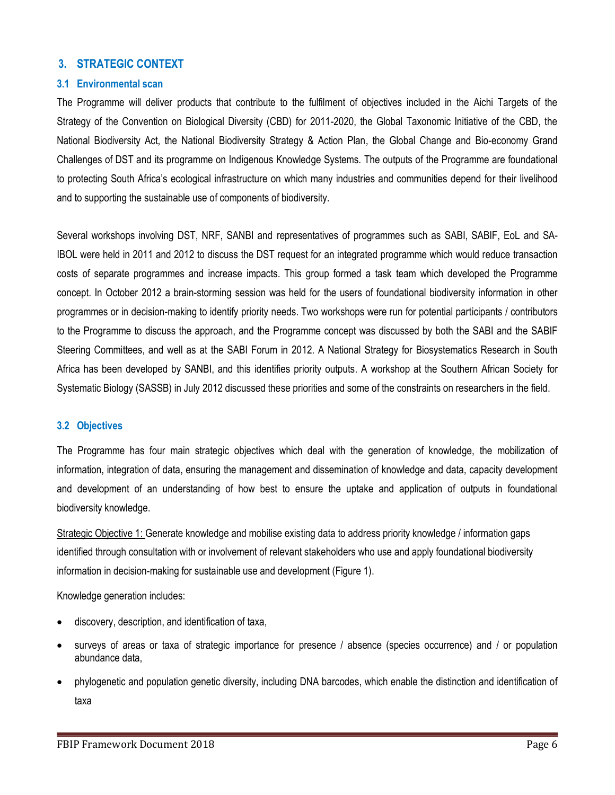## <span id="page-5-0"></span>**3. STRATEGIC CONTEXT**

#### <span id="page-5-1"></span>**3.1 Environmental scan**

The Programme will deliver products that contribute to the fulfilment of objectives included in the Aichi Targets of the Strategy of the Convention on Biological Diversity (CBD) for 2011-2020, the Global Taxonomic Initiative of the CBD, the National Biodiversity Act, the National Biodiversity Strategy & Action Plan, the Global Change and Bio-economy Grand Challenges of DST and its programme on Indigenous Knowledge Systems. The outputs of the Programme are foundational to protecting South Africa's ecological infrastructure on which many industries and communities depend for their livelihood and to supporting the sustainable use of components of biodiversity.

Several workshops involving DST, NRF, SANBI and representatives of programmes such as SABI, SABIF, EoL and SA-IBOL were held in 2011 and 2012 to discuss the DST request for an integrated programme which would reduce transaction costs of separate programmes and increase impacts. This group formed a task team which developed the Programme concept. In October 2012 a brain-storming session was held for the users of foundational biodiversity information in other programmes or in decision-making to identify priority needs. Two workshops were run for potential participants / contributors to the Programme to discuss the approach, and the Programme concept was discussed by both the SABI and the SABIF Steering Committees, and well as at the SABI Forum in 2012. A National Strategy for Biosystematics Research in South Africa has been developed by SANBI, and this identifies priority outputs. A workshop at the Southern African Society for Systematic Biology (SASSB) in July 2012 discussed these priorities and some of the constraints on researchers in the field.

#### <span id="page-5-2"></span>**3.2 Objectives**

The Programme has four main strategic objectives which deal with the generation of knowledge, the mobilization of information, integration of data, ensuring the management and dissemination of knowledge and data, capacity development and development of an understanding of how best to ensure the uptake and application of outputs in foundational biodiversity knowledge.

Strategic Objective 1: Generate knowledge and mobilise existing data to address priority knowledge / information gaps identified through consultation with or involvement of relevant stakeholders who use and apply foundational biodiversity information in decision-making for sustainable use and development (Figure 1).

Knowledge generation includes:

- discovery, description, and identification of taxa,
- surveys of areas or taxa of strategic importance for presence / absence (species occurrence) and / or population abundance data,
- phylogenetic and population genetic diversity, including DNA barcodes, which enable the distinction and identification of taxa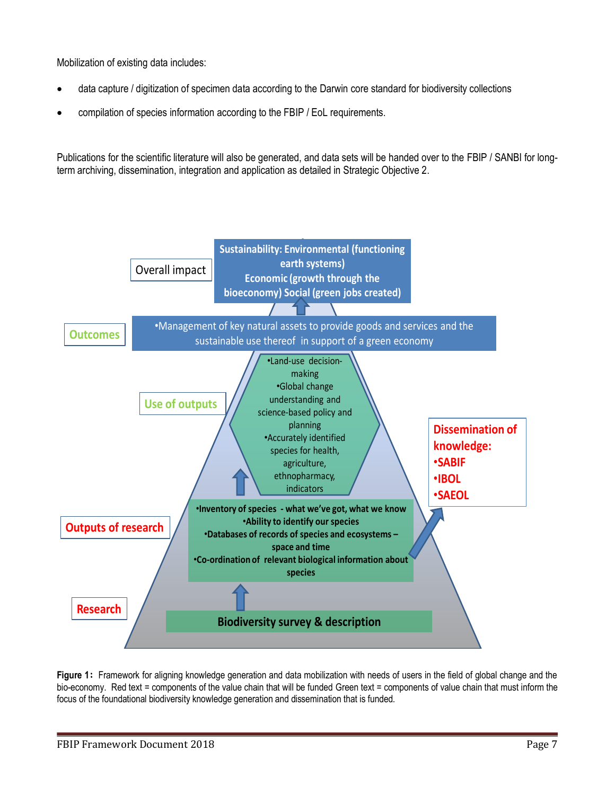Mobilization of existing data includes:

- data capture / digitization of specimen data according to the Darwin core standard for biodiversity collections
- compilation of species information according to the FBIP / EoL requirements.

Publications for the scientific literature will also be generated, and data sets will be handed over to the FBIP / SANBI for longterm archiving, dissemination, integration and application as detailed in Strategic Objective 2.



<span id="page-6-0"></span>**Figure 1:** Framework for aligning knowledge generation and data mobilization with needs of users in the field of global change and the bio-economy. Red text = components of the value chain that will be funded Green text = components of value chain that must inform the focus of the foundational biodiversity knowledge generation and dissemination that is funded.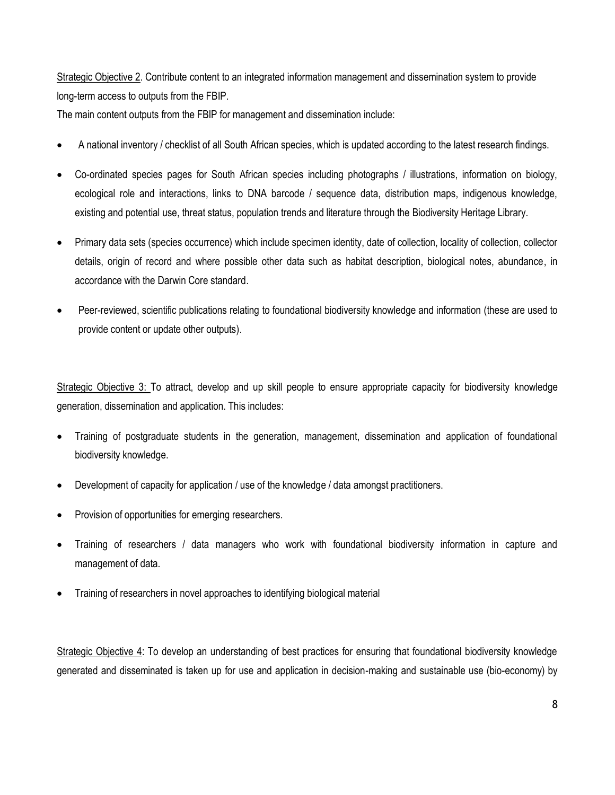Strategic Objective 2. Contribute content to an integrated information management and dissemination system to provide long-term access to outputs from the FBIP.

The main content outputs from the FBIP for management and dissemination include:

- A national inventory / checklist of all South African species, which is updated according to the latest research findings.
- Co-ordinated species pages for South African species including photographs / illustrations, information on biology, ecological role and interactions, links to DNA barcode / sequence data, distribution maps, indigenous knowledge, existing and potential use, threat status, population trends and literature through the Biodiversity Heritage Library.
- Primary data sets (species occurrence) which include specimen identity, date of collection, locality of collection, collector details, origin of record and where possible other data such as habitat description, biological notes, abundance, in accordance with the Darwin Core standard.
- Peer-reviewed, scientific publications relating to foundational biodiversity knowledge and information (these are used to provide content or update other outputs).

Strategic Objective 3: To attract, develop and up skill people to ensure appropriate capacity for biodiversity knowledge generation, dissemination and application. This includes:

- Training of postgraduate students in the generation, management, dissemination and application of foundational biodiversity knowledge.
- Development of capacity for application / use of the knowledge / data amongst practitioners.
- Provision of opportunities for emerging researchers.
- Training of researchers / data managers who work with foundational biodiversity information in capture and management of data.
- Training of researchers in novel approaches to identifying biological material

Strategic Objective 4: To develop an understanding of best practices for ensuring that foundational biodiversity knowledge generated and disseminated is taken up for use and application in decision-making and sustainable use (bio-economy) by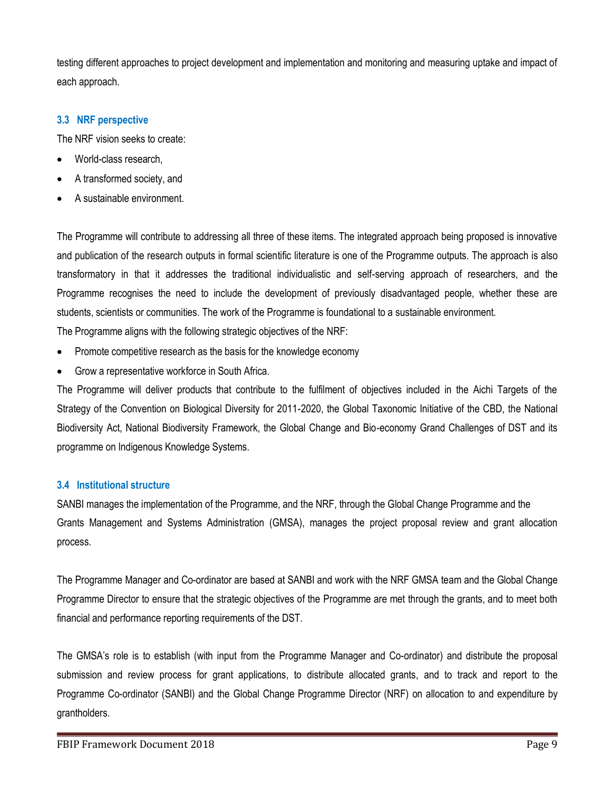testing different approaches to project development and implementation and monitoring and measuring uptake and impact of each approach.

#### <span id="page-8-0"></span>**3.3 NRF perspective**

The NRF vision seeks to create:

- World-class research,
- A transformed society, and
- A sustainable environment.

The Programme will contribute to addressing all three of these items. The integrated approach being proposed is innovative and publication of the research outputs in formal scientific literature is one of the Programme outputs. The approach is also transformatory in that it addresses the traditional individualistic and self-serving approach of researchers, and the Programme recognises the need to include the development of previously disadvantaged people, whether these are students, scientists or communities. The work of the Programme is foundational to a sustainable environment. The Programme aligns with the following strategic objectives of the NRF:

- Promote competitive research as the basis for the knowledge economy
- Grow a representative workforce in South Africa.

The Programme will deliver products that contribute to the fulfilment of objectives included in the Aichi Targets of the Strategy of the Convention on Biological Diversity for 2011-2020, the Global Taxonomic Initiative of the CBD, the National Biodiversity Act, National Biodiversity Framework, the Global Change and Bio-economy Grand Challenges of DST and its programme on Indigenous Knowledge Systems.

## <span id="page-8-1"></span>**3.4 Institutional structure**

SANBI manages the implementation of the Programme, and the NRF, through the Global Change Programme and the Grants Management and Systems Administration (GMSA), manages the project proposal review and grant allocation process.

The Programme Manager and Co-ordinator are based at SANBI and work with the NRF GMSA team and the Global Change Programme Director to ensure that the strategic objectives of the Programme are met through the grants, and to meet both financial and performance reporting requirements of the DST.

The GMSA's role is to establish (with input from the Programme Manager and Co-ordinator) and distribute the proposal submission and review process for grant applications, to distribute allocated grants, and to track and report to the Programme Co-ordinator (SANBI) and the Global Change Programme Director (NRF) on allocation to and expenditure by grantholders.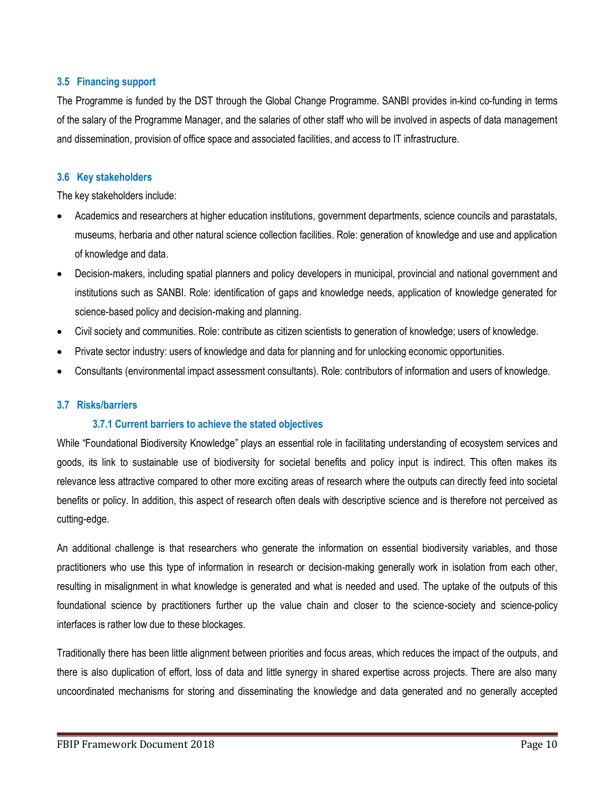#### <span id="page-9-0"></span>**3.5 Financing support**

The Programme is funded by the DST through the Global Change Programme. SANBI provides in-kind co-funding in terms of the salary of the Programme Manager, and the salaries of other staff who will be involved in aspects of data management and dissemination, provision of office space and associated facilities, and access to IT infrastructure.

#### <span id="page-9-1"></span>**3.6 Key stakeholders**

The key stakeholders include:

- Academics and researchers at higher education institutions, government departments, science councils and parastatals, museums, herbaria and other natural science collection facilities. Role: generation of knowledge and use and application of knowledge and data.
- Decision-makers, including spatial planners and policy developers in municipal, provincial and national government and institutions such as SANBI. Role: identification of gaps and knowledge needs, application of knowledge generated for science-based policy and decision-making and planning.
- Civil society and communities. Role: contribute as citizen scientists to generation of knowledge; users of knowledge.
- Private sector industry: users of knowledge and data for planning and for unlocking economic opportunities.
- Consultants (environmental impact assessment consultants). Role: contributors of information and users of knowledge.

#### <span id="page-9-2"></span>**3.7 Risks/barriers**

## <span id="page-9-3"></span>**3.7.1 Current barriers to achieve the stated objectives**

While "Foundational Biodiversity Knowledge" plays an essential role in facilitating understanding of ecosystem services and goods, its link to sustainable use of biodiversity for societal benefits and policy input is indirect. This often makes its relevance less attractive compared to other more exciting areas of research where the outputs can directly feed into societal benefits or policy. In addition, this aspect of research often deals with descriptive science and is therefore not perceived as cutting-edge.

An additional challenge is that researchers who generate the information on essential biodiversity variables, and those practitioners who use this type of information in research or decision-making generally work in isolation from each other, resulting in misalignment in what knowledge is generated and what is needed and used. The uptake of the outputs of this foundational science by practitioners further up the value chain and closer to the science-society and science-policy interfaces is rather low due to these blockages.

Traditionally there has been little alignment between priorities and focus areas, which reduces the impact of the outputs, and there is also duplication of effort, loss of data and little synergy in shared expertise across projects. There are also many uncoordinated mechanisms for storing and disseminating the knowledge and data generated and no generally accepted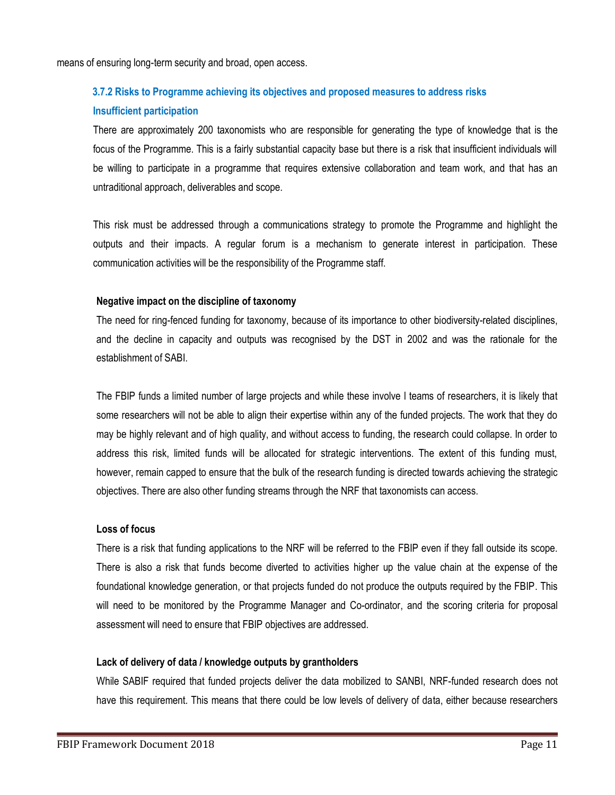means of ensuring long-term security and broad, open access.

# <span id="page-10-0"></span>**3.7.2 Risks to Programme achieving its objectives and proposed measures to address risks Insufficient participation**

There are approximately 200 taxonomists who are responsible for generating the type of knowledge that is the focus of the Programme. This is a fairly substantial capacity base but there is a risk that insufficient individuals will be willing to participate in a programme that requires extensive collaboration and team work, and that has an untraditional approach, deliverables and scope.

This risk must be addressed through a communications strategy to promote the Programme and highlight the outputs and their impacts. A regular forum is a mechanism to generate interest in participation. These communication activities will be the responsibility of the Programme staff.

#### **Negative impact on the discipline of taxonomy**

The need for ring-fenced funding for taxonomy, because of its importance to other biodiversity-related disciplines, and the decline in capacity and outputs was recognised by the DST in 2002 and was the rationale for the establishment of SABI.

The FBIP funds a limited number of large projects and while these involve l teams of researchers, it is likely that some researchers will not be able to align their expertise within any of the funded projects. The work that they do may be highly relevant and of high quality, and without access to funding, the research could collapse. In order to address this risk, limited funds will be allocated for strategic interventions. The extent of this funding must, however, remain capped to ensure that the bulk of the research funding is directed towards achieving the strategic objectives. There are also other funding streams through the NRF that taxonomists can access.

#### **Loss of focus**

There is a risk that funding applications to the NRF will be referred to the FBIP even if they fall outside its scope. There is also a risk that funds become diverted to activities higher up the value chain at the expense of the foundational knowledge generation, or that projects funded do not produce the outputs required by the FBIP. This will need to be monitored by the Programme Manager and Co-ordinator, and the scoring criteria for proposal assessment will need to ensure that FBIP objectives are addressed.

## **Lack of delivery of data / knowledge outputs by grantholders**

While SABIF required that funded projects deliver the data mobilized to SANBI, NRF-funded research does not have this requirement. This means that there could be low levels of delivery of data, either because researchers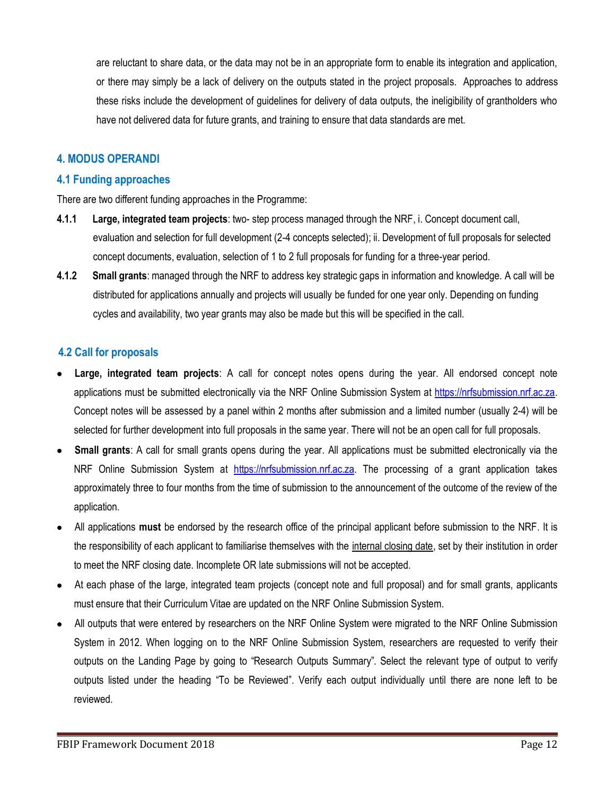are reluctant to share data, or the data may not be in an appropriate form to enable its integration and application, or there may simply be a lack of delivery on the outputs stated in the project proposals. Approaches to address these risks include the development of guidelines for delivery of data outputs, the ineligibility of grantholders who have not delivered data for future grants, and training to ensure that data standards are met.

## <span id="page-11-0"></span>**4. MODUS OPERANDI**

#### <span id="page-11-1"></span>**4.1 Funding approaches**

There are two different funding approaches in the Programme:

- <span id="page-11-2"></span>**4.1.1 Large, integrated team projects**: two- step process managed through the NRF, i. Concept document call, evaluation and selection for full development (2-4 concepts selected); ii. Development of full proposals for selected concept documents, evaluation, selection of 1 to 2 full proposals for funding for a three-year period.
- <span id="page-11-3"></span>**4.1.2 Small grants**: managed through the NRF to address key strategic gaps in information and knowledge. A call will be distributed for applications annually and projects will usually be funded for one year only. Depending on funding cycles and availability, two year grants may also be made but this will be specified in the call.

## <span id="page-11-4"></span>**4.2 Call for proposals**

- **Large, integrated team projects**: A call for concept notes opens during the year. All endorsed concept note applications must be submitted electronically via the NRF Online Submission System at [https://nrfsubmission.nrf.ac.za.](https://nrfsubmission.nrf.ac.za/) Concept notes will be assessed by a panel within 2 months after submission and a limited number (usually 2-4) will be selected for further development into full proposals in the same year. There will not be an open call for full proposals.
- **Small grants**: A call for small grants opens during the year. All applications must be submitted electronically via the NRF Online Submission System at [https://nrfsubmission.nrf.ac.za.](https://nrfsubmission.nrf.ac.za/) The processing of a grant application takes approximately three to four months from the time of submission to the announcement of the outcome of the review of the application.
- All applications **must** be endorsed by the research office of the principal applicant before submission to the NRF. It is the responsibility of each applicant to familiarise themselves with the internal closing date, set by their institution in order to meet the NRF closing date. Incomplete OR late submissions will not be accepted.
- At each phase of the large, integrated team projects (concept note and full proposal) and for small grants, applicants must ensure that their Curriculum Vitae are updated on the NRF Online Submission System.
- All outputs that were entered by researchers on the NRF Online System were migrated to the NRF Online Submission System in 2012. When logging on to the NRF Online Submission System, researchers are requested to verify their outputs on the Landing Page by going to "Research Outputs Summary". Select the relevant type of output to verify outputs listed under the heading "To be Reviewed". Verify each output individually until there are none left to be reviewed.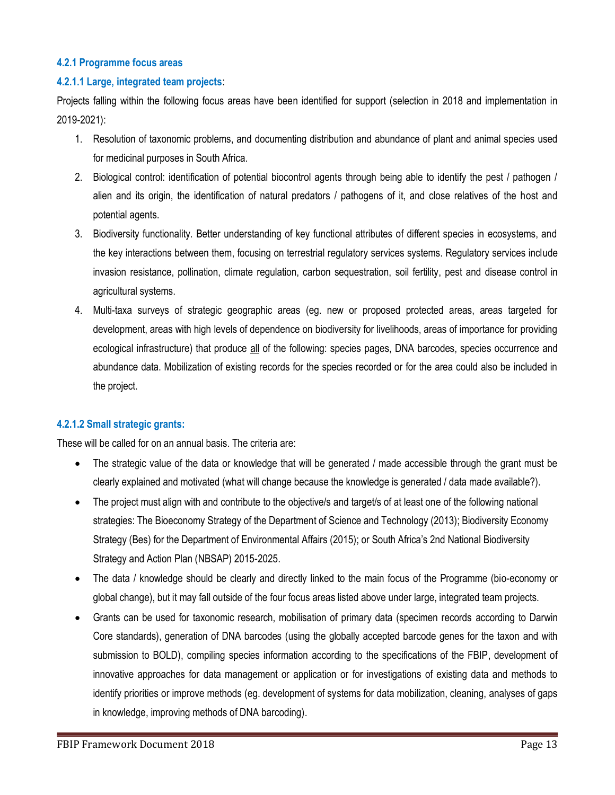#### <span id="page-12-0"></span>**4.2.1 Programme focus areas**

#### **4.2.1.1 Large, integrated team projects**:

Projects falling within the following focus areas have been identified for support (selection in 2018 and implementation in 2019-2021):

- 1. Resolution of taxonomic problems, and documenting distribution and abundance of plant and animal species used for medicinal purposes in South Africa.
- 2. Biological control: identification of potential biocontrol agents through being able to identify the pest / pathogen / alien and its origin, the identification of natural predators / pathogens of it, and close relatives of the host and potential agents.
- 3. Biodiversity functionality. Better understanding of key functional attributes of different species in ecosystems, and the key interactions between them, focusing on terrestrial regulatory services systems. Regulatory services include invasion resistance, pollination, climate regulation, carbon sequestration, soil fertility, pest and disease control in agricultural systems.
- 4. Multi-taxa surveys of strategic geographic areas (eg. new or proposed protected areas, areas targeted for development, areas with high levels of dependence on biodiversity for livelihoods, areas of importance for providing ecological infrastructure) that produce all of the following: species pages, DNA barcodes, species occurrence and abundance data. Mobilization of existing records for the species recorded or for the area could also be included in the project.

## **4.2.1.2 Small strategic grants:**

These will be called for on an annual basis. The criteria are:

- The strategic value of the data or knowledge that will be generated / made accessible through the grant must be clearly explained and motivated (what will change because the knowledge is generated / data made available?).
- The project must align with and contribute to the objective/s and target/s of at least one of the following national strategies: The Bioeconomy Strategy of the Department of Science and Technology (2013); Biodiversity Economy Strategy (Bes) for the Department of Environmental Affairs (2015); or South Africa's 2nd National Biodiversity Strategy and Action Plan (NBSAP) 2015-2025.
- The data / knowledge should be clearly and directly linked to the main focus of the Programme (bio-economy or global change), but it may fall outside of the four focus areas listed above under large, integrated team projects.
- Grants can be used for taxonomic research, mobilisation of primary data (specimen records according to Darwin Core standards), generation of DNA barcodes (using the globally accepted barcode genes for the taxon and with submission to BOLD), compiling species information according to the specifications of the FBIP, development of innovative approaches for data management or application or for investigations of existing data and methods to identify priorities or improve methods (eg. development of systems for data mobilization, cleaning, analyses of gaps in knowledge, improving methods of DNA barcoding).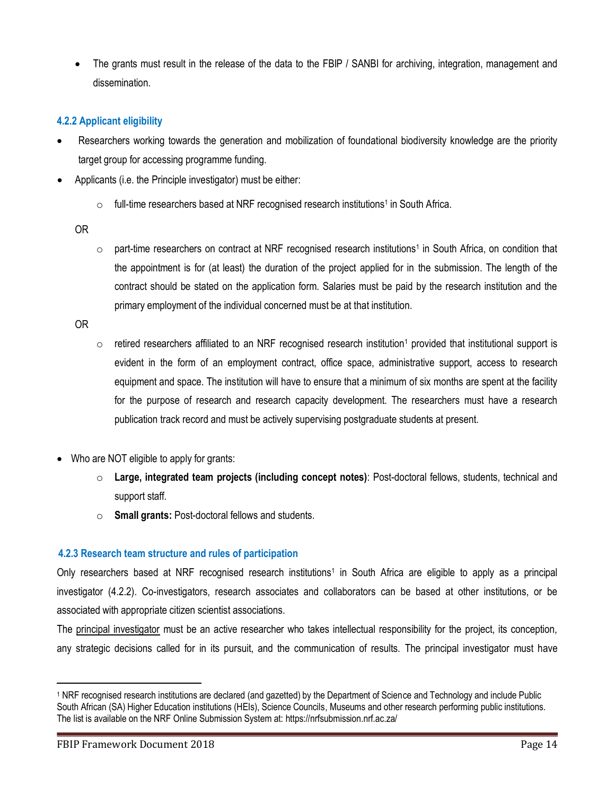The grants must result in the release of the data to the FBIP / SANBI for archiving, integration, management and dissemination.

## <span id="page-13-0"></span>**4.2.2 Applicant eligibility**

- Researchers working towards the generation and mobilization of foundational biodiversity knowledge are the priority target group for accessing programme funding.
- Applicants (i.e. the Principle investigator) must be either:
	- $\circ$  full-time researchers based at NRF recognised research institutions<sup>1</sup> in South Africa.

OR

 $\circ$  part-time researchers on contract at NRF recognised research institutions<sup>1</sup> in South Africa, on condition that the appointment is for (at least) the duration of the project applied for in the submission. The length of the contract should be stated on the application form. Salaries must be paid by the research institution and the primary employment of the individual concerned must be at that institution.

OR

- $\circ$  retired researchers affiliated to an NRF recognised research institution<sup>1</sup> provided that institutional support is evident in the form of an employment contract, office space, administrative support, access to research equipment and space. The institution will have to ensure that a minimum of six months are spent at the facility for the purpose of research and research capacity development. The researchers must have a research publication track record and must be actively supervising postgraduate students at present.
- Who are NOT eligible to apply for grants:
	- o **Large, integrated team projects (including concept notes)**: Post-doctoral fellows, students, technical and support staff.
	- o **Small grants:** Post-doctoral fellows and students.

## <span id="page-13-1"></span>**4.2.3 Research team structure and rules of participation**

Only researchers based at NRF recognised research institutions<sup>1</sup> in South Africa are eligible to apply as a principal investigator (4.2.2). Co-investigators, research associates and collaborators can be based at other institutions, or be associated with appropriate citizen scientist associations.

The principal investigator must be an active researcher who takes intellectual responsibility for the project, its conception, any strategic decisions called for in its pursuit, and the communication of results. The principal investigator must have

 $\overline{a}$ 

<sup>&</sup>lt;sup>1</sup> NRF recognised research institutions are declared (and gazetted) by the Department of Science and Technology and include Public South African (SA) Higher Education institutions (HEIs), Science Councils, Museums and other research performing public institutions. The list is available on the NRF Online Submission System at: https://nrfsubmission.nrf.ac.za/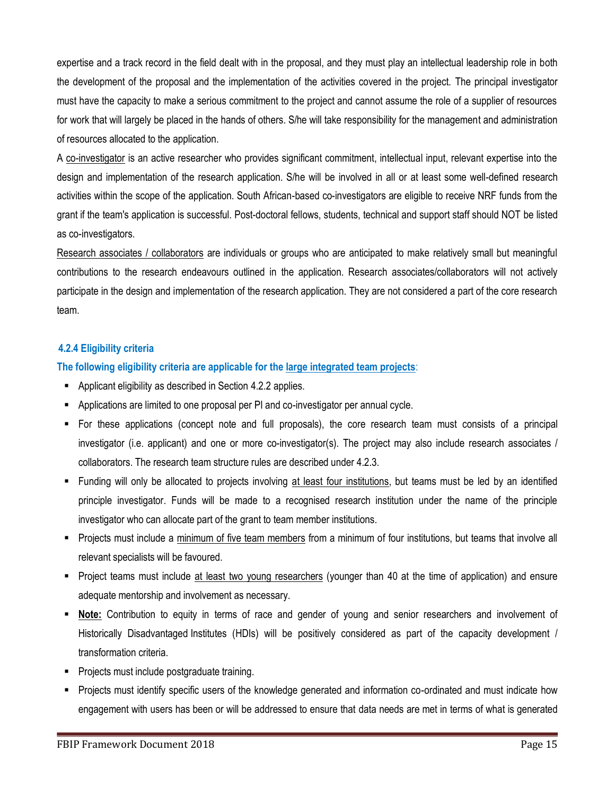expertise and a track record in the field dealt with in the proposal, and they must play an intellectual leadership role in both the development of the proposal and the implementation of the activities covered in the project. The principal investigator must have the capacity to make a serious commitment to the project and cannot assume the role of a supplier of resources for work that will largely be placed in the hands of others. S/he will take responsibility for the management and administration of resources allocated to the application.

A co-investigator is an active researcher who provides significant commitment, intellectual input, relevant expertise into the design and implementation of the research application. S/he will be involved in all or at least some well-defined research activities within the scope of the application. South African-based co-investigators are eligible to receive NRF funds from the grant if the team's application is successful. Post-doctoral fellows, students, technical and support staff should NOT be listed as co-investigators.

Research associates / collaborators are individuals or groups who are anticipated to make relatively small but meaningful contributions to the research endeavours outlined in the application. Research associates/collaborators will not actively participate in the design and implementation of the research application. They are not considered a part of the core research team.

#### <span id="page-14-0"></span>**4.2.4 Eligibility criteria**

#### **The following eligibility criteria are applicable for the large integrated team projects**:

- Applicant eligibility as described in Section 4.2.2 applies.
- Applications are limited to one proposal per PI and co-investigator per annual cycle.
- For these applications (concept note and full proposals), the core research team must consists of a principal investigator (i.e. applicant) and one or more co-investigator(s). The project may also include research associates / collaborators. The research team structure rules are described under 4.2.3.
- Funding will only be allocated to projects involving at least four institutions, but teams must be led by an identified principle investigator. Funds will be made to a recognised research institution under the name of the principle investigator who can allocate part of the grant to team member institutions.
- Projects must include a minimum of five team members from a minimum of four institutions, but teams that involve all relevant specialists will be favoured.
- Project teams must include at least two young researchers (younger than 40 at the time of application) and ensure adequate mentorship and involvement as necessary.
- **Note:** Contribution to equity in terms of race and gender of young and senior researchers and involvement of Historically Disadvantaged Institutes (HDIs) will be positively considered as part of the capacity development / transformation criteria.
- **Projects must include postgraduate training.**
- Projects must identify specific users of the knowledge generated and information co-ordinated and must indicate how engagement with users has been or will be addressed to ensure that data needs are met in terms of what is generated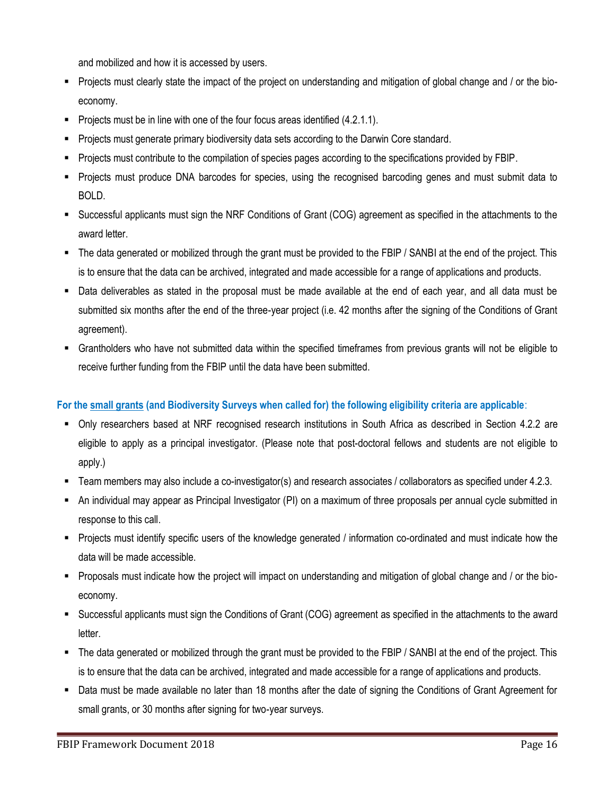and mobilized and how it is accessed by users.

- Projects must clearly state the impact of the project on understanding and mitigation of global change and / or the bioeconomy.
- Projects must be in line with one of the four focus areas identified  $(4.2.1.1)$ .
- **Projects must generate primary biodiversity data sets according to the Darwin Core standard.**
- Projects must contribute to the compilation of species pages according to the specifications provided by FBIP.
- Projects must produce DNA barcodes for species, using the recognised barcoding genes and must submit data to BOLD.
- Successful applicants must sign the NRF Conditions of Grant (COG) agreement as specified in the attachments to the award letter.
- The data generated or mobilized through the grant must be provided to the FBIP / SANBI at the end of the project. This is to ensure that the data can be archived, integrated and made accessible for a range of applications and products.
- Data deliverables as stated in the proposal must be made available at the end of each year, and all data must be submitted six months after the end of the three-year project (i.e. 42 months after the signing of the Conditions of Grant agreement).
- Grantholders who have not submitted data within the specified timeframes from previous grants will not be eligible to receive further funding from the FBIP until the data have been submitted.

## **For the small grants (and Biodiversity Surveys when called for) the following eligibility criteria are applicable**:

- Only researchers based at NRF recognised research institutions in South Africa as described in Section 4.2.2 are eligible to apply as a principal investigator. (Please note that post-doctoral fellows and students are not eligible to apply.)
- Team members may also include a co-investigator(s) and research associates / collaborators as specified under 4.2.3.
- An individual may appear as Principal Investigator (PI) on a maximum of three proposals per annual cycle submitted in response to this call.
- Projects must identify specific users of the knowledge generated / information co-ordinated and must indicate how the data will be made accessible.
- Proposals must indicate how the project will impact on understanding and mitigation of global change and / or the bioeconomy.
- Successful applicants must sign the Conditions of Grant (COG) agreement as specified in the attachments to the award letter.
- The data generated or mobilized through the grant must be provided to the FBIP / SANBI at the end of the project. This is to ensure that the data can be archived, integrated and made accessible for a range of applications and products.
- Data must be made available no later than 18 months after the date of signing the Conditions of Grant Agreement for small grants, or 30 months after signing for two-year surveys.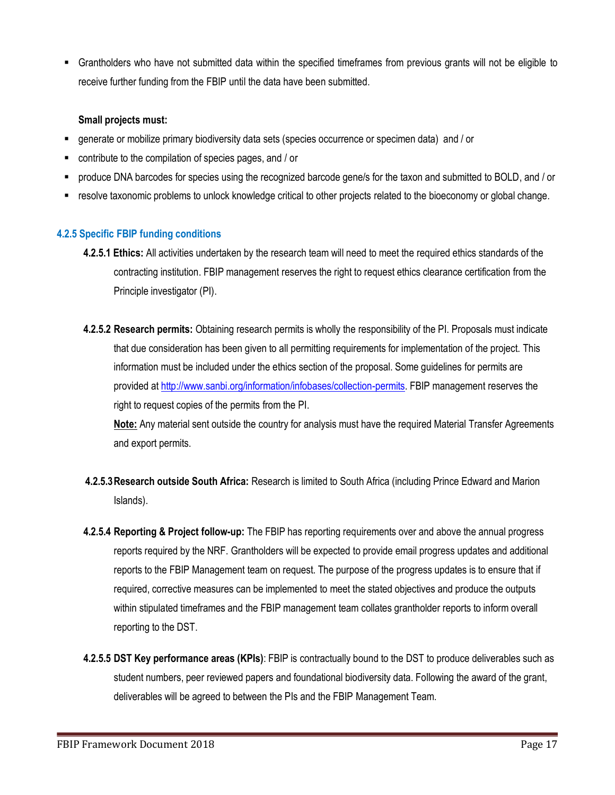Grantholders who have not submitted data within the specified timeframes from previous grants will not be eligible to receive further funding from the FBIP until the data have been submitted.

#### **Small projects must:**

- generate or mobilize primary biodiversity data sets (species occurrence or specimen data) and / or
- contribute to the compilation of species pages, and / or
- produce DNA barcodes for species using the recognized barcode gene/s for the taxon and submitted to BOLD, and / or
- resolve taxonomic problems to unlock knowledge critical to other projects related to the bioeconomy or global change.

#### <span id="page-16-0"></span>**4.2.5 Specific FBIP funding conditions**

- **4.2.5.1 Ethics:** All activities undertaken by the research team will need to meet the required ethics standards of the contracting institution. FBIP management reserves the right to request ethics clearance certification from the Principle investigator (PI).
- **4.2.5.2 Research permits:** Obtaining research permits is wholly the responsibility of the PI. Proposals must indicate that due consideration has been given to all permitting requirements for implementation of the project. This information must be included under the ethics section of the proposal. Some guidelines for permits are provided a[t http://www.sanbi.org/information/infobases/collection-permits.](http://www.sanbi.org/information/infobases/collection-permits) FBIP management reserves the right to request copies of the permits from the PI.

**Note:** Any material sent outside the country for analysis must have the required Material Transfer Agreements and export permits.

- **4.2.5.3Research outside South Africa:** Research is limited to South Africa (including Prince Edward and Marion Islands).
- **4.2.5.4 Reporting & Project follow-up:** The FBIP has reporting requirements over and above the annual progress reports required by the NRF. Grantholders will be expected to provide email progress updates and additional reports to the FBIP Management team on request. The purpose of the progress updates is to ensure that if required, corrective measures can be implemented to meet the stated objectives and produce the outputs within stipulated timeframes and the FBIP management team collates grantholder reports to inform overall reporting to the DST.
- **4.2.5.5 DST Key performance areas (KPIs)**: FBIP is contractually bound to the DST to produce deliverables such as student numbers, peer reviewed papers and foundational biodiversity data. Following the award of the grant, deliverables will be agreed to between the PIs and the FBIP Management Team.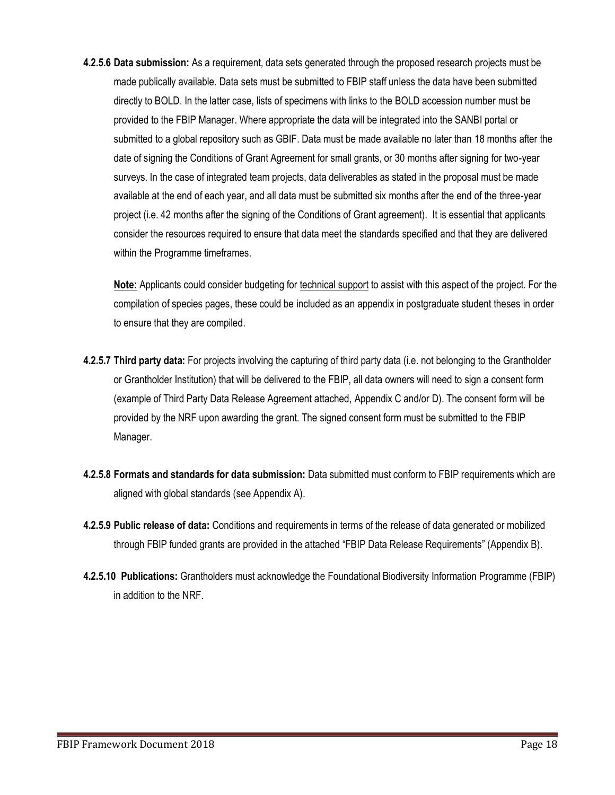**4.2.5.6 Data submission:** As a requirement, data sets generated through the proposed research projects must be made publically available. Data sets must be submitted to FBIP staff unless the data have been submitted directly to BOLD. In the latter case, lists of specimens with links to the BOLD accession number must be provided to the FBIP Manager. Where appropriate the data will be integrated into the SANBI portal or submitted to a global repository such as GBIF. Data must be made available no later than 18 months after the date of signing the Conditions of Grant Agreement for small grants, or 30 months after signing for two-year surveys. In the case of integrated team projects, data deliverables as stated in the proposal must be made available at the end of each year, and all data must be submitted six months after the end of the three-year project (i.e. 42 months after the signing of the Conditions of Grant agreement). It is essential that applicants consider the resources required to ensure that data meet the standards specified and that they are delivered within the Programme timeframes.

**Note:** Applicants could consider budgeting for technical support to assist with this aspect of the project. For the compilation of species pages, these could be included as an appendix in postgraduate student theses in order to ensure that they are compiled.

- **4.2.5.7 Third party data:** For projects involving the capturing of third party data (i.e. not belonging to the Grantholder or Grantholder Institution) that will be delivered to the FBIP, all data owners will need to sign a consent form (example of Third Party Data Release Agreement attached, Appendix C and/or D). The consent form will be provided by the NRF upon awarding the grant. The signed consent form must be submitted to the FBIP Manager.
- **4.2.5.8 Formats and standards for data submission:** Data submitted must conform to FBIP requirements which are aligned with global standards (see Appendix A).
- **4.2.5.9 Public release of data:** Conditions and requirements in terms of the release of data generated or mobilized through FBIP funded grants are provided in the attached "FBIP Data Release Requirements" (Appendix B).
- **4.2.5.10 Publications:** Grantholders must acknowledge the Foundational Biodiversity Information Programme (FBIP) in addition to the NRF.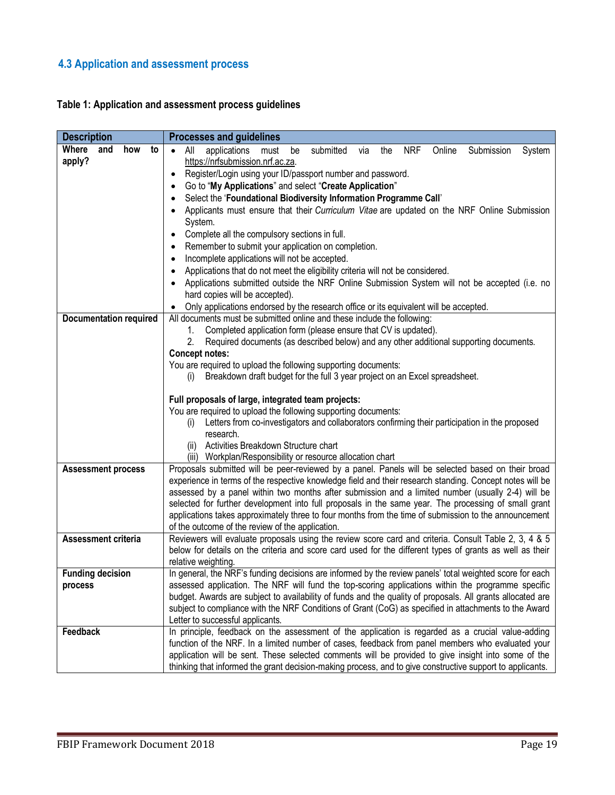# <span id="page-18-0"></span>**4.3 Application and assessment process**

## <span id="page-18-1"></span>**Table 1: Application and assessment process guidelines**

<span id="page-18-2"></span>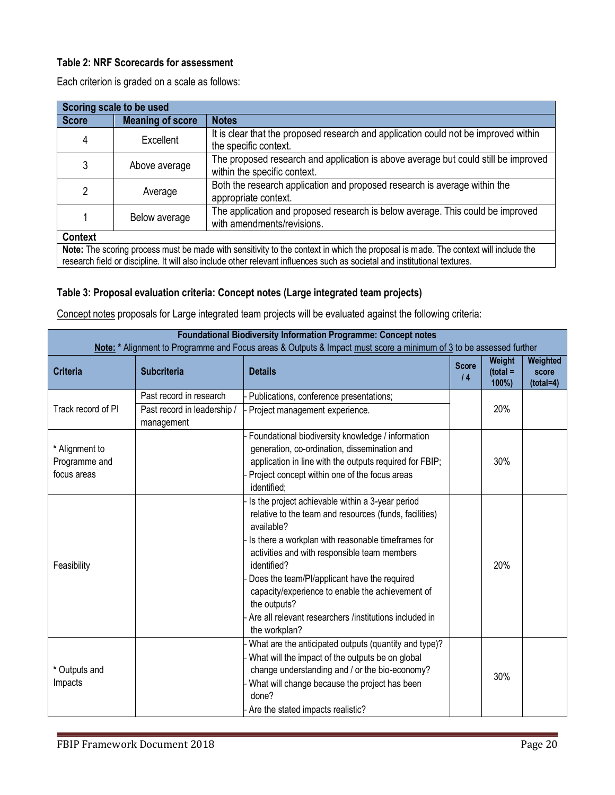## **Table 2: NRF Scorecards for assessment**

Each criterion is graded on a scale as follows:

| Scoring scale to be used |                         |                                                                                                                                                                                                                                                                 |  |  |
|--------------------------|-------------------------|-----------------------------------------------------------------------------------------------------------------------------------------------------------------------------------------------------------------------------------------------------------------|--|--|
| <b>Score</b>             | <b>Meaning of score</b> | <b>Notes</b>                                                                                                                                                                                                                                                    |  |  |
| 4                        | Excellent               | It is clear that the proposed research and application could not be improved within<br>the specific context.                                                                                                                                                    |  |  |
| 3                        | Above average           | The proposed research and application is above average but could still be improved<br>within the specific context.                                                                                                                                              |  |  |
| 2                        | Average                 | Both the research application and proposed research is average within the<br>appropriate context.                                                                                                                                                               |  |  |
|                          | Below average           | The application and proposed research is below average. This could be improved<br>with amendments/revisions.                                                                                                                                                    |  |  |
| <b>Context</b>           |                         |                                                                                                                                                                                                                                                                 |  |  |
|                          |                         | Note: The scoring process must be made with sensitivity to the context in which the proposal is made. The context will include the<br>research field or discipline. It will also include other relevant influences such as societal and institutional textures. |  |  |

## **Table 3: Proposal evaluation criteria: Concept notes (Large integrated team projects)**

Concept notes proposals for Large integrated team projects will be evaluated against the following criteria:

| <b>Foundational Biodiversity Information Programme: Concept notes</b>                                              |                                           |                                                                                                                                                                                                                                                                                                                                                                                                                                              |                            |                                   |                                  |  |  |
|--------------------------------------------------------------------------------------------------------------------|-------------------------------------------|----------------------------------------------------------------------------------------------------------------------------------------------------------------------------------------------------------------------------------------------------------------------------------------------------------------------------------------------------------------------------------------------------------------------------------------------|----------------------------|-----------------------------------|----------------------------------|--|--|
| Note: * Alignment to Programme and Focus areas & Outputs & Impact must score a minimum of 3 to be assessed further |                                           |                                                                                                                                                                                                                                                                                                                                                                                                                                              |                            |                                   |                                  |  |  |
| <b>Criteria</b>                                                                                                    | <b>Subcriteria</b>                        | <b>Details</b>                                                                                                                                                                                                                                                                                                                                                                                                                               | <b>Score</b><br>$\sqrt{4}$ | Weight<br>$(total =$<br>$100\%$ ) | Weighted<br>score<br>$(total=4)$ |  |  |
|                                                                                                                    | Past record in research                   | Publications, conference presentations;                                                                                                                                                                                                                                                                                                                                                                                                      |                            |                                   |                                  |  |  |
| Track record of PI                                                                                                 | Past record in leadership /<br>management | Project management experience.                                                                                                                                                                                                                                                                                                                                                                                                               |                            | 20%                               |                                  |  |  |
| * Alignment to<br>Programme and<br>focus areas                                                                     |                                           | Foundational biodiversity knowledge / information<br>generation, co-ordination, dissemination and<br>application in line with the outputs required for FBIP;<br>Project concept within one of the focus areas<br>identified;                                                                                                                                                                                                                 |                            | 30%                               |                                  |  |  |
| Feasibility                                                                                                        |                                           | Is the project achievable within a 3-year period<br>relative to the team and resources (funds, facilities)<br>available?<br>Is there a workplan with reasonable timeframes for<br>activities and with responsible team members<br>identified?<br>Does the team/PI/applicant have the required<br>capacity/experience to enable the achievement of<br>the outputs?<br>Are all relevant researchers /institutions included in<br>the workplan? |                            | 20%                               |                                  |  |  |
| * Outputs and<br>Impacts                                                                                           |                                           | What are the anticipated outputs (quantity and type)?<br>What will the impact of the outputs be on global<br>change understanding and / or the bio-economy?<br>What will change because the project has been<br>done?<br>Are the stated impacts realistic?                                                                                                                                                                                   |                            | 30%                               |                                  |  |  |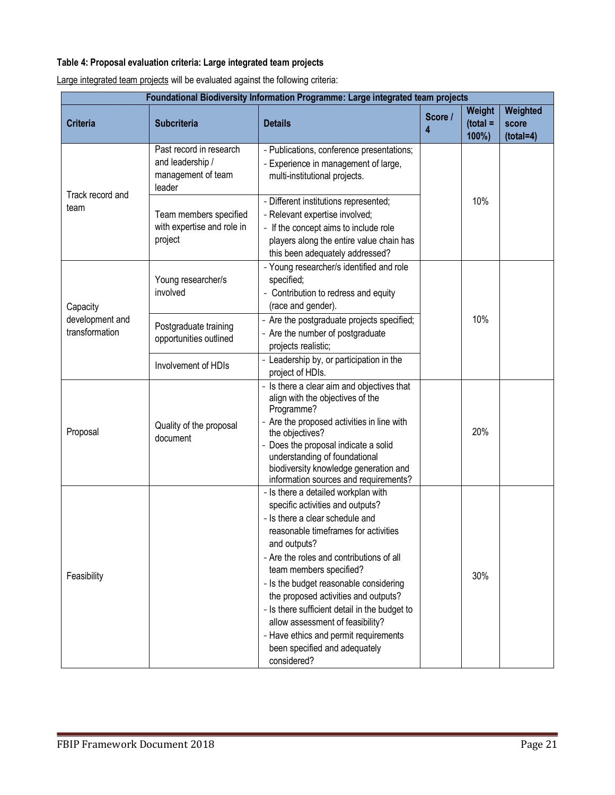## **Table 4: Proposal evaluation criteria: Large integrated team projects**

Large integrated team projects will be evaluated against the following criteria:

| Foundational Biodiversity Information Programme: Large integrated team projects |                                                                             |                                                                                                                                                                                                                                                                                                                                                                                                                                                                                                           |              |                               |                                  |  |
|---------------------------------------------------------------------------------|-----------------------------------------------------------------------------|-----------------------------------------------------------------------------------------------------------------------------------------------------------------------------------------------------------------------------------------------------------------------------------------------------------------------------------------------------------------------------------------------------------------------------------------------------------------------------------------------------------|--------------|-------------------------------|----------------------------------|--|
| <b>Criteria</b>                                                                 | <b>Subcriteria</b>                                                          | <b>Details</b>                                                                                                                                                                                                                                                                                                                                                                                                                                                                                            | Score /<br>4 | Weight<br>$(total =$<br>100%) | Weighted<br>score<br>$(total=4)$ |  |
| Track record and                                                                | Past record in research<br>and leadership /<br>management of team<br>leader | - Publications, conference presentations;<br>- Experience in management of large,<br>multi-institutional projects.                                                                                                                                                                                                                                                                                                                                                                                        |              |                               |                                  |  |
| team                                                                            | Team members specified<br>with expertise and role in<br>project             | - Different institutions represented;<br>- Relevant expertise involved;<br>- If the concept aims to include role<br>players along the entire value chain has<br>this been adequately addressed?                                                                                                                                                                                                                                                                                                           |              | 10%                           |                                  |  |
| Capacity                                                                        | Young researcher/s<br>involved                                              | - Young researcher/s identified and role<br>specified;<br>- Contribution to redress and equity<br>(race and gender).                                                                                                                                                                                                                                                                                                                                                                                      |              |                               |                                  |  |
| development and<br>transformation                                               | Postgraduate training<br>opportunities outlined                             | - Are the postgraduate projects specified;<br>- Are the number of postgraduate<br>projects realistic;                                                                                                                                                                                                                                                                                                                                                                                                     |              | 10%                           |                                  |  |
|                                                                                 | Involvement of HDIs                                                         | - Leadership by, or participation in the<br>project of HDIs.                                                                                                                                                                                                                                                                                                                                                                                                                                              |              |                               |                                  |  |
| Proposal                                                                        | Quality of the proposal<br>document                                         | - Is there a clear aim and objectives that<br>align with the objectives of the<br>Programme?<br>- Are the proposed activities in line with<br>the objectives?<br>- Does the proposal indicate a solid<br>understanding of foundational<br>biodiversity knowledge generation and<br>information sources and requirements?                                                                                                                                                                                  |              | 20%                           |                                  |  |
| Feasibility                                                                     |                                                                             | - Is there a detailed workplan with<br>specific activities and outputs?<br>- Is there a clear schedule and<br>reasonable timeframes for activities<br>and outputs?<br>- Are the roles and contributions of all<br>team members specified?<br>- Is the budget reasonable considering<br>the proposed activities and outputs?<br>- Is there sufficient detail in the budget to<br>allow assessment of feasibility?<br>- Have ethics and permit requirements<br>been specified and adequately<br>considered? |              | 30%                           |                                  |  |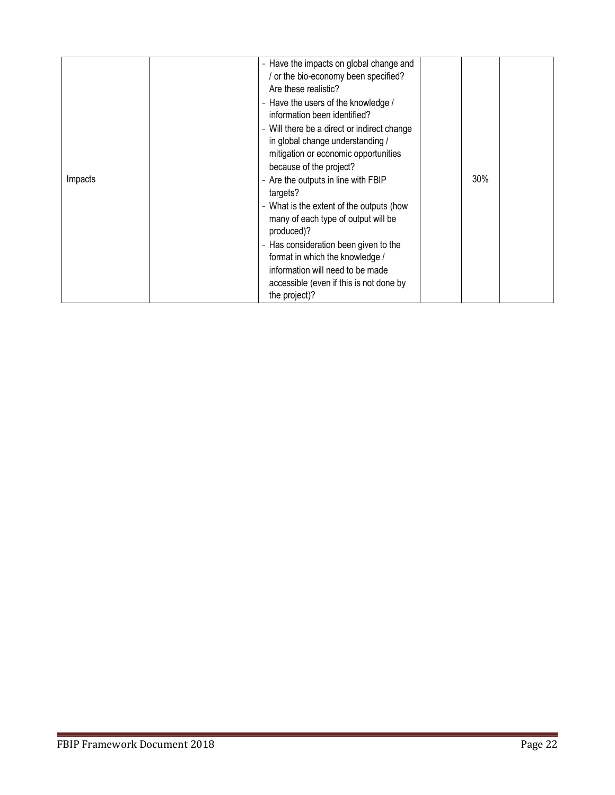| Impacts | - Have the impacts on global change and<br>or the bio-economy been specified?<br>Are these realistic?<br>- Have the users of the knowledge /<br>information been identified?<br>- Will there be a direct or indirect change<br>in global change understanding /<br>mitigation or economic opportunities<br>because of the project?<br>- Are the outputs in line with FBIP<br>targets?<br>- What is the extent of the outputs (how<br>many of each type of output will be<br>produced)?<br>- Has consideration been given to the<br>format in which the knowledge /<br>information will need to be made<br>accessible (even if this is not done by<br>the project)? | 30% |  |
|---------|--------------------------------------------------------------------------------------------------------------------------------------------------------------------------------------------------------------------------------------------------------------------------------------------------------------------------------------------------------------------------------------------------------------------------------------------------------------------------------------------------------------------------------------------------------------------------------------------------------------------------------------------------------------------|-----|--|
|---------|--------------------------------------------------------------------------------------------------------------------------------------------------------------------------------------------------------------------------------------------------------------------------------------------------------------------------------------------------------------------------------------------------------------------------------------------------------------------------------------------------------------------------------------------------------------------------------------------------------------------------------------------------------------------|-----|--|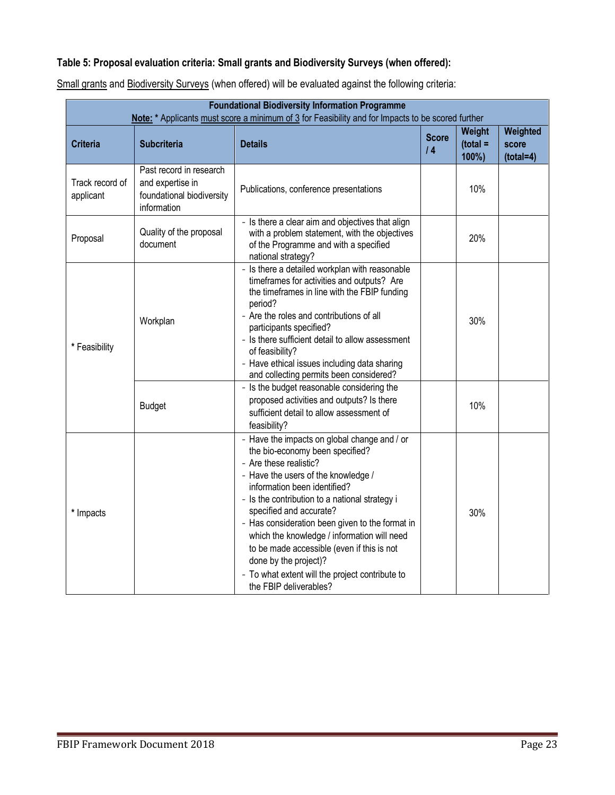# **Table 5: Proposal evaluation criteria: Small grants and Biodiversity Surveys (when offered):**

| <b>Foundational Biodiversity Information Programme</b><br>Note: * Applicants must score a minimum of 3 for Feasibility and for Impacts to be scored further |                                                                                         |                                                                                                                                                                                                                                                                                                                                                                                                                                                                                                                     |                    |                               |                                  |
|-------------------------------------------------------------------------------------------------------------------------------------------------------------|-----------------------------------------------------------------------------------------|---------------------------------------------------------------------------------------------------------------------------------------------------------------------------------------------------------------------------------------------------------------------------------------------------------------------------------------------------------------------------------------------------------------------------------------------------------------------------------------------------------------------|--------------------|-------------------------------|----------------------------------|
| <b>Criteria</b>                                                                                                                                             | <b>Subcriteria</b>                                                                      | <b>Details</b>                                                                                                                                                                                                                                                                                                                                                                                                                                                                                                      | <b>Score</b><br>14 | Weight<br>$(total =$<br>100%) | Weighted<br>score<br>$(total=4)$ |
| Track record of<br>applicant                                                                                                                                | Past record in research<br>and expertise in<br>foundational biodiversity<br>information | Publications, conference presentations                                                                                                                                                                                                                                                                                                                                                                                                                                                                              |                    | 10%                           |                                  |
| Proposal                                                                                                                                                    | Quality of the proposal<br>document                                                     | - Is there a clear aim and objectives that align<br>with a problem statement, with the objectives<br>of the Programme and with a specified<br>national strategy?                                                                                                                                                                                                                                                                                                                                                    |                    | 20%                           |                                  |
| * Feasibility                                                                                                                                               | Workplan                                                                                | - Is there a detailed workplan with reasonable<br>timeframes for activities and outputs? Are<br>the timeframes in line with the FBIP funding<br>period?<br>- Are the roles and contributions of all<br>participants specified?<br>- Is there sufficient detail to allow assessment<br>of feasibility?<br>- Have ethical issues including data sharing<br>and collecting permits been considered?                                                                                                                    |                    | 30%                           |                                  |
|                                                                                                                                                             | <b>Budget</b>                                                                           | - Is the budget reasonable considering the<br>proposed activities and outputs? Is there<br>sufficient detail to allow assessment of<br>feasibility?                                                                                                                                                                                                                                                                                                                                                                 |                    | 10%                           |                                  |
| * Impacts                                                                                                                                                   |                                                                                         | - Have the impacts on global change and / or<br>the bio-economy been specified?<br>- Are these realistic?<br>- Have the users of the knowledge /<br>information been identified?<br>- Is the contribution to a national strategy i<br>specified and accurate?<br>- Has consideration been given to the format in<br>which the knowledge / information will need<br>to be made accessible (even if this is not<br>done by the project)?<br>- To what extent will the project contribute to<br>the FBIP deliverables? |                    | 30%                           |                                  |

Small grants and Biodiversity Surveys (when offered) will be evaluated against the following criteria: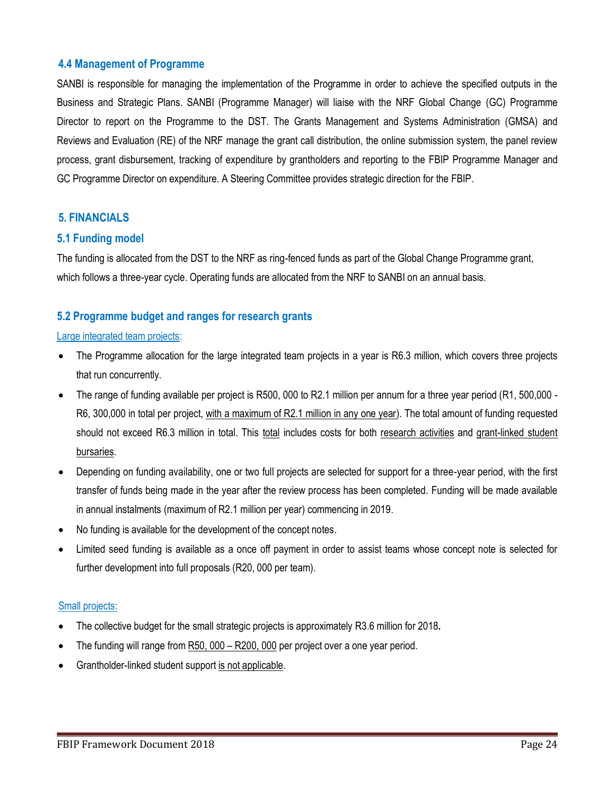## <span id="page-23-0"></span>**4.4 Management of Programme**

SANBI is responsible for managing the implementation of the Programme in order to achieve the specified outputs in the Business and Strategic Plans. SANBI (Programme Manager) will liaise with the NRF Global Change (GC) Programme Director to report on the Programme to the DST. The Grants Management and Systems Administration (GMSA) and Reviews and Evaluation (RE) of the NRF manage the grant call distribution, the online submission system, the panel review process, grant disbursement, tracking of expenditure by grantholders and reporting to the FBIP Programme Manager and GC Programme Director on expenditure. A Steering Committee provides strategic direction for the FBIP.

## <span id="page-23-1"></span>**5. FINANCIALS**

## <span id="page-23-2"></span>**5.1 Funding model**

The funding is allocated from the DST to the NRF as ring-fenced funds as part of the Global Change Programme grant, which follows a three-year cycle. Operating funds are allocated from the NRF to SANBI on an annual basis.

## <span id="page-23-3"></span>**5.2 Programme budget and ranges for research grants**

#### Large integrated team projects:

- The Programme allocation for the large integrated team projects in a year is R6.3 million, which covers three projects that run concurrently.
- The range of funding available per project is R500, 000 to R2.1 million per annum for a three year period (R1, 500,000 R6, 300,000 in total per project, with a maximum of R2.1 million in any one year). The total amount of funding requested should not exceed R6.3 million in total. This total includes costs for both research activities and grant-linked student bursaries.
- Depending on funding availability, one or two full projects are selected for support for a three-year period, with the first transfer of funds being made in the year after the review process has been completed. Funding will be made available in annual instalments (maximum of R2.1 million per year) commencing in 2019.
- No funding is available for the development of the concept notes.
- Limited seed funding is available as a once off payment in order to assist teams whose concept note is selected for further development into full proposals (R20, 000 per team).

## Small projects:

- The collective budget for the small strategic projects is approximately R3.6 million for 2018**.**
- The funding will range from R50, 000 R200, 000 per project over a one year period.
- Grantholder-linked student support is not applicable.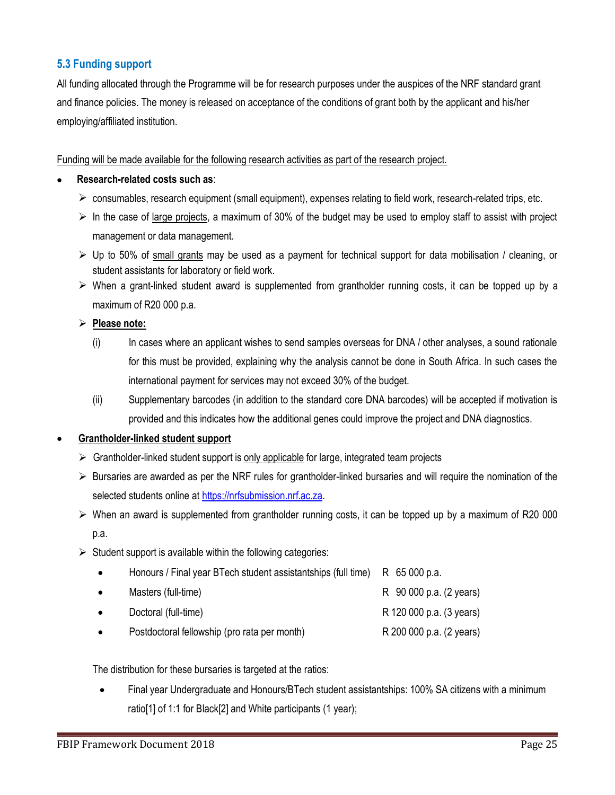## <span id="page-24-0"></span>**5.3 Funding support**

All funding allocated through the Programme will be for research purposes under the auspices of the NRF standard grant and finance policies. The money is released on acceptance of the conditions of grant both by the applicant and his/her employing/affiliated institution.

Funding will be made available for the following research activities as part of the research project.

- **Research-related costs such as**:
	- $\triangleright$  consumables, research equipment (small equipment), expenses relating to field work, research-related trips, etc.
	- $\triangleright$  In the case of large projects, a maximum of 30% of the budget may be used to employ staff to assist with project management or data management.
	- $\triangleright$  Up to 50% of small grants may be used as a payment for technical support for data mobilisation / cleaning, or student assistants for laboratory or field work.
	- $\triangleright$  When a grant-linked student award is supplemented from grantholder running costs, it can be topped up by a maximum of R20 000 p.a.

## **Please note:**

- (i) In cases where an applicant wishes to send samples overseas for DNA / other analyses, a sound rationale for this must be provided, explaining why the analysis cannot be done in South Africa. In such cases the international payment for services may not exceed 30% of the budget.
- (ii) Supplementary barcodes (in addition to the standard core DNA barcodes) will be accepted if motivation is provided and this indicates how the additional genes could improve the project and DNA diagnostics.

## **Grantholder-linked student support**

- $\triangleright$  Grantholder-linked student support is only applicable for large, integrated team projects
- $\triangleright$  Bursaries are awarded as per the NRF rules for grantholder-linked bursaries and will require the nomination of the selected students online at [https://nrfsubmission.nrf.ac.za.](https://nrfsubmission.nrf.ac.za/)
- $\triangleright$  When an award is supplemented from grantholder running costs, it can be topped up by a maximum of R20 000 p.a.
- $\triangleright$  Student support is available within the following categories:

| $\bullet$ | Honours / Final year BTech student assistantships (full time) R 65 000 p.a. |                          |
|-----------|-----------------------------------------------------------------------------|--------------------------|
| $\bullet$ | Masters (full-time)                                                         | R 90 000 p.a. (2 years)  |
| $\bullet$ | Doctoral (full-time)                                                        | R 120 000 p.a. (3 years) |
| $\bullet$ | Postdoctoral fellowship (pro rata per month)                                | R 200 000 p.a. (2 years) |

The distribution for these bursaries is targeted at the ratios:

 Final year Undergraduate and Honours/BTech student assistantships: 100% SA citizens with a minimum ratio[1] of 1:1 for Black[2] and White participants (1 year);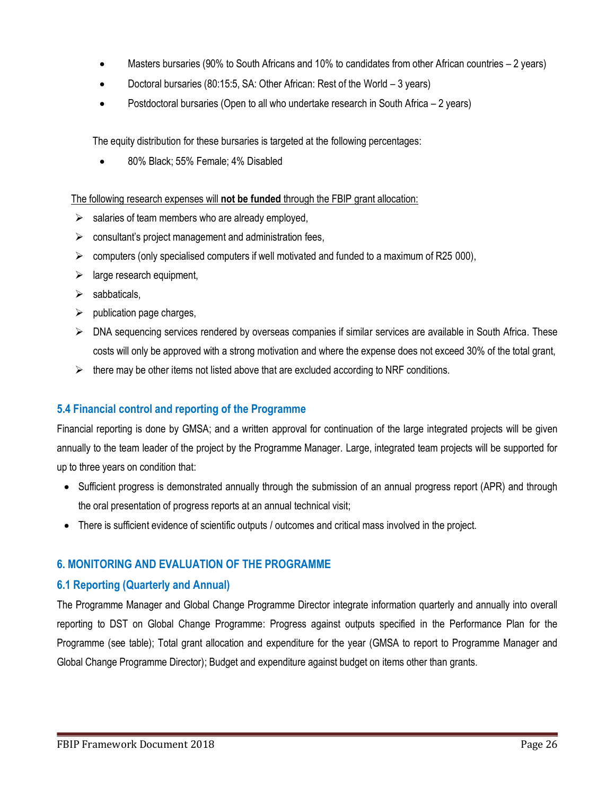- Masters bursaries (90% to South Africans and 10% to candidates from other African countries 2 years)
- Doctoral bursaries (80:15:5, SA: Other African: Rest of the World 3 years)
- Postdoctoral bursaries (Open to all who undertake research in South Africa 2 years)

The equity distribution for these bursaries is targeted at the following percentages:

80% Black; 55% Female; 4% Disabled

The following research expenses will **not be funded** through the FBIP grant allocation:

- $\triangleright$  salaries of team members who are already employed,
- $\triangleright$  consultant's project management and administration fees,
- $\triangleright$  computers (only specialised computers if well motivated and funded to a maximum of R25 000),
- $\triangleright$  large research equipment,
- $\triangleright$  sabbaticals,
- $\triangleright$  publication page charges,
- $\triangleright$  DNA sequencing services rendered by overseas companies if similar services are available in South Africa. These costs will only be approved with a strong motivation and where the expense does not exceed 30% of the total grant,
- $\triangleright$  there may be other items not listed above that are excluded according to NRF conditions.

## <span id="page-25-0"></span>**5.4 Financial control and reporting of the Programme**

Financial reporting is done by GMSA; and a written approval for continuation of the large integrated projects will be given annually to the team leader of the project by the Programme Manager. Large, integrated team projects will be supported for up to three years on condition that:

- Sufficient progress is demonstrated annually through the submission of an annual progress report (APR) and through the oral presentation of progress reports at an annual technical visit;
- There is sufficient evidence of scientific outputs / outcomes and critical mass involved in the project.

## <span id="page-25-1"></span>**6. MONITORING AND EVALUATION OF THE PROGRAMME**

## <span id="page-25-2"></span>**6.1 Reporting (Quarterly and Annual)**

<span id="page-25-3"></span>The Programme Manager and Global Change Programme Director integrate information quarterly and annually into overall reporting to DST on Global Change Programme: Progress against outputs specified in the Performance Plan for the Programme (see table); Total grant allocation and expenditure for the year (GMSA to report to Programme Manager and Global Change Programme Director); Budget and expenditure against budget on items other than grants.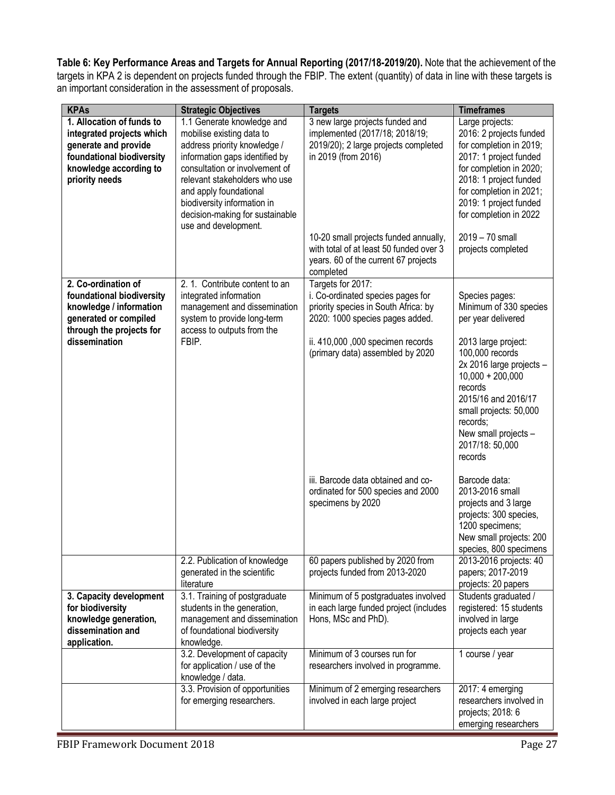**Table 6: Key Performance Areas and Targets for Annual Reporting (2017/18-2019/20).** Note that the achievement of the targets in KPA 2 is dependent on projects funded through the FBIP. The extent (quantity) of data in line with these targets is an important consideration in the assessment of proposals.

| <b>KPAs</b>                                                                                                                                             | <b>Strategic Objectives</b>                                                                                                                                                                                                                                                                                      | <b>Targets</b>                                                                                                                                                                                                                                                            | <b>Timeframes</b>                                                                                                                                                                                                                                                            |
|---------------------------------------------------------------------------------------------------------------------------------------------------------|------------------------------------------------------------------------------------------------------------------------------------------------------------------------------------------------------------------------------------------------------------------------------------------------------------------|---------------------------------------------------------------------------------------------------------------------------------------------------------------------------------------------------------------------------------------------------------------------------|------------------------------------------------------------------------------------------------------------------------------------------------------------------------------------------------------------------------------------------------------------------------------|
| 1. Allocation of funds to<br>integrated projects which<br>generate and provide<br>foundational biodiversity<br>knowledge according to<br>priority needs | 1.1 Generate knowledge and<br>mobilise existing data to<br>address priority knowledge /<br>information gaps identified by<br>consultation or involvement of<br>relevant stakeholders who use<br>and apply foundational<br>biodiversity information in<br>decision-making for sustainable<br>use and development. | 3 new large projects funded and<br>implemented (2017/18; 2018/19;<br>2019/20); 2 large projects completed<br>in 2019 (from 2016)<br>10-20 small projects funded annually,<br>with total of at least 50 funded over 3<br>years. 60 of the current 67 projects<br>completed | Large projects:<br>2016: 2 projects funded<br>for completion in 2019;<br>2017: 1 project funded<br>for completion in 2020;<br>2018: 1 project funded<br>for completion in 2021;<br>2019: 1 project funded<br>for completion in 2022<br>2019 - 70 small<br>projects completed |
| 2. Co-ordination of                                                                                                                                     | 2. 1. Contribute content to an                                                                                                                                                                                                                                                                                   | Targets for 2017:                                                                                                                                                                                                                                                         |                                                                                                                                                                                                                                                                              |
| foundational biodiversity<br>knowledge / information<br>generated or compiled<br>through the projects for                                               | integrated information<br>management and dissemination<br>system to provide long-term<br>access to outputs from the                                                                                                                                                                                              | i. Co-ordinated species pages for<br>priority species in South Africa: by<br>2020: 1000 species pages added.                                                                                                                                                              | Species pages:<br>Minimum of 330 species<br>per year delivered                                                                                                                                                                                                               |
| dissemination                                                                                                                                           | FBIP.                                                                                                                                                                                                                                                                                                            | ii. 410,000 ,000 specimen records<br>(primary data) assembled by 2020                                                                                                                                                                                                     | 2013 large project:<br>100,000 records<br>2x 2016 large projects -<br>$10,000 + 200,000$<br>records<br>2015/16 and 2016/17<br>small projects: 50,000<br>records;<br>New small projects -<br>2017/18: 50,000<br>records                                                       |
|                                                                                                                                                         |                                                                                                                                                                                                                                                                                                                  | iii. Barcode data obtained and co-<br>ordinated for 500 species and 2000<br>specimens by 2020                                                                                                                                                                             | Barcode data:<br>2013-2016 small<br>projects and 3 large<br>projects: 300 species,<br>1200 specimens;<br>New small projects: 200<br>species, 800 specimens                                                                                                                   |
|                                                                                                                                                         | 2.2. Publication of knowledge<br>generated in the scientific<br>literature                                                                                                                                                                                                                                       | 60 papers published by 2020 from<br>projects funded from 2013-2020                                                                                                                                                                                                        | 2013-2016 projects: 40<br>papers; 2017-2019<br>projects: 20 papers                                                                                                                                                                                                           |
| 3. Capacity development<br>for biodiversity<br>knowledge generation,<br>dissemination and<br>application.                                               | 3.1. Training of postgraduate<br>students in the generation,<br>management and dissemination<br>of foundational biodiversity<br>knowledge.                                                                                                                                                                       | Minimum of 5 postgraduates involved<br>in each large funded project (includes<br>Hons, MSc and PhD).                                                                                                                                                                      | Students graduated /<br>registered: 15 students<br>involved in large<br>projects each year                                                                                                                                                                                   |
|                                                                                                                                                         | 3.2. Development of capacity<br>for application / use of the<br>knowledge / data.                                                                                                                                                                                                                                | Minimum of 3 courses run for<br>researchers involved in programme.                                                                                                                                                                                                        | 1 course / year                                                                                                                                                                                                                                                              |
|                                                                                                                                                         | 3.3. Provision of opportunities<br>for emerging researchers.                                                                                                                                                                                                                                                     | Minimum of 2 emerging researchers<br>involved in each large project                                                                                                                                                                                                       | 2017: 4 emerging<br>researchers involved in<br>projects; 2018: 6<br>emerging researchers                                                                                                                                                                                     |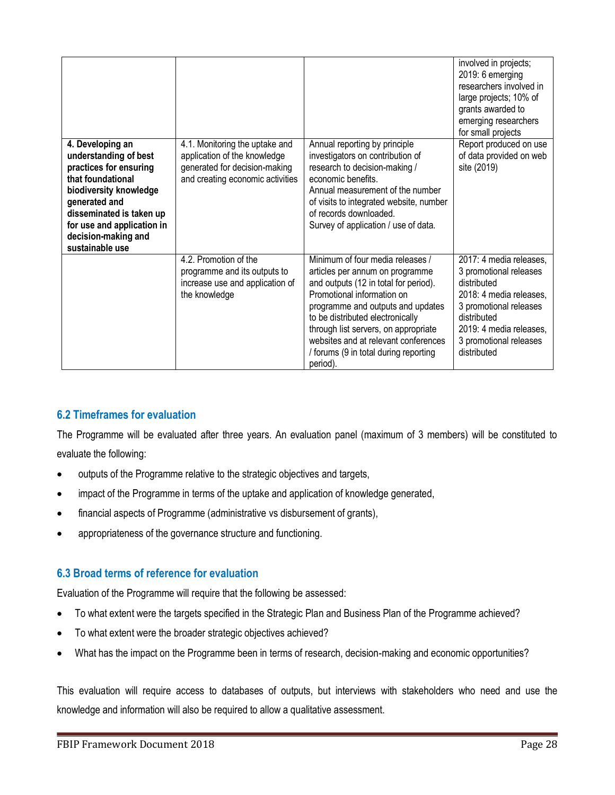| 4. Developing an<br>understanding of best<br>practices for ensuring<br>that foundational<br>biodiversity knowledge<br>generated and<br>disseminated is taken up<br>for use and application in<br>decision-making and<br>sustainable use | 4.1. Monitoring the uptake and<br>application of the knowledge<br>generated for decision-making<br>and creating economic activities | Annual reporting by principle<br>investigators on contribution of<br>research to decision-making /<br>economic benefits.<br>Annual measurement of the number<br>of visits to integrated website, number<br>of records downloaded.<br>Survey of application / use of data.                                                                                | involved in projects;<br>2019: 6 emerging<br>researchers involved in<br>large projects; 10% of<br>grants awarded to<br>emerging researchers<br>for small projects<br>Report produced on use<br>of data provided on web<br>site (2019) |
|-----------------------------------------------------------------------------------------------------------------------------------------------------------------------------------------------------------------------------------------|-------------------------------------------------------------------------------------------------------------------------------------|----------------------------------------------------------------------------------------------------------------------------------------------------------------------------------------------------------------------------------------------------------------------------------------------------------------------------------------------------------|---------------------------------------------------------------------------------------------------------------------------------------------------------------------------------------------------------------------------------------|
|                                                                                                                                                                                                                                         | 4.2. Promotion of the<br>programme and its outputs to<br>increase use and application of<br>the knowledge                           | Minimum of four media releases /<br>articles per annum on programme<br>and outputs (12 in total for period).<br>Promotional information on<br>programme and outputs and updates<br>to be distributed electronically<br>through list servers, on appropriate<br>websites and at relevant conferences<br>/ forums (9 in total during reporting<br>period). | 2017: 4 media releases,<br>3 promotional releases<br>distributed<br>2018: 4 media releases,<br>3 promotional releases<br>distributed<br>2019: 4 media releases,<br>3 promotional releases<br>distributed                              |

## <span id="page-27-0"></span>**6.2 Timeframes for evaluation**

The Programme will be evaluated after three years. An evaluation panel (maximum of 3 members) will be constituted to evaluate the following:

- outputs of the Programme relative to the strategic objectives and targets,
- impact of the Programme in terms of the uptake and application of knowledge generated,
- financial aspects of Programme (administrative vs disbursement of grants),
- appropriateness of the governance structure and functioning.

## <span id="page-27-1"></span>**6.3 Broad terms of reference for evaluation**

Evaluation of the Programme will require that the following be assessed:

- To what extent were the targets specified in the Strategic Plan and Business Plan of the Programme achieved?
- To what extent were the broader strategic objectives achieved?
- What has the impact on the Programme been in terms of research, decision-making and economic opportunities?

This evaluation will require access to databases of outputs, but interviews with stakeholders who need and use the knowledge and information will also be required to allow a qualitative assessment.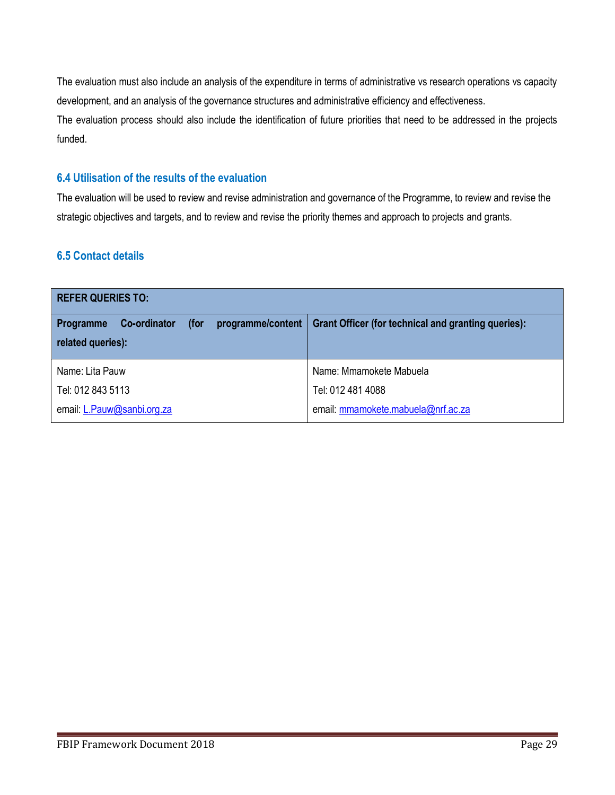The evaluation must also include an analysis of the expenditure in terms of administrative vs research operations vs capacity development, and an analysis of the governance structures and administrative efficiency and effectiveness.

The evaluation process should also include the identification of future priorities that need to be addressed in the projects funded.

## <span id="page-28-0"></span>**6.4 Utilisation of the results of the evaluation**

The evaluation will be used to review and revise administration and governance of the Programme, to review and revise the strategic objectives and targets, and to review and revise the priority themes and approach to projects and grants.

## <span id="page-28-1"></span>**6.5 Contact details**

| <b>REFER QUERIES TO:</b>                                             |                                                            |  |
|----------------------------------------------------------------------|------------------------------------------------------------|--|
| programme/content<br><b>Co-ordinator</b><br>(for<br><b>Programme</b> | <b>Grant Officer (for technical and granting queries):</b> |  |
| related queries):                                                    |                                                            |  |
| Name: Lita Pauw                                                      | Name: Mmamokete Mabuela                                    |  |
| Tel: 012 843 5113                                                    | Tel: 012 481 4088                                          |  |
| email: L.Pauw@sanbi.org.za                                           | email: mmamokete.mabuela@nrf.ac.za                         |  |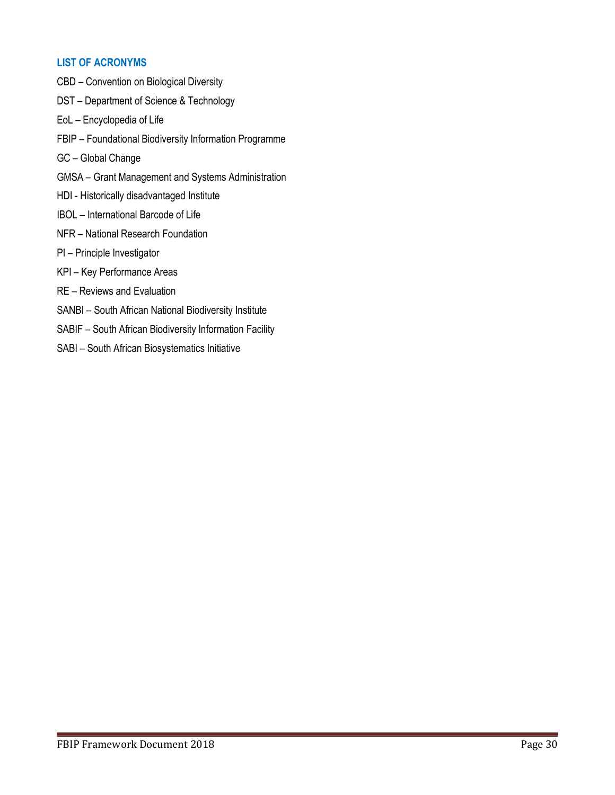#### **LIST OF ACRONYMS**

CBD – Convention on Biological Diversity DST – Department of Science & Technology EoL – Encyclopedia of Life FBIP – Foundational Biodiversity Information Programme GC – Global Change GMSA – Grant Management and Systems Administration HDI - Historically disadvantaged Institute IBOL – International Barcode of Life NFR – National Research Foundation PI – Principle Investigator KPI – Key Performance Areas RE – Reviews and Evaluation SANBI – South African National Biodiversity Institute SABIF – South African Biodiversity Information Facility SABI – South African Biosystematics Initiative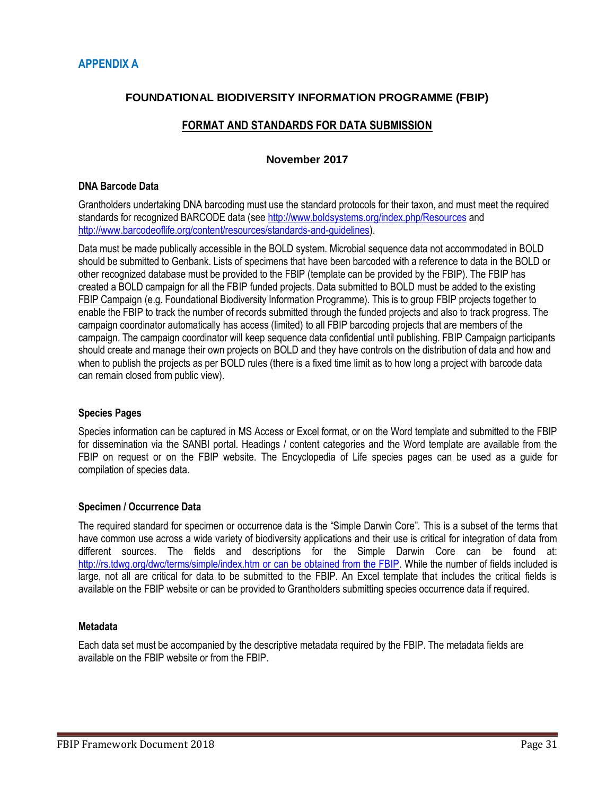## **FOUNDATIONAL BIODIVERSITY INFORMATION PROGRAMME (FBIP)**

## **FORMAT AND STANDARDS FOR DATA SUBMISSION**

#### **November 2017**

#### **DNA Barcode Data**

Grantholders undertaking DNA barcoding must use the standard protocols for their taxon, and must meet the required standards for recognized BARCODE data (see<http://www.boldsystems.org/index.php/Resources> and [http://www.barcodeoflife.org/content/resources/standards-and-guidelines\)](http://www.barcodeoflife.org/content/resources/standards-and-guidelines).

Data must be made publically accessible in the BOLD system. Microbial sequence data not accommodated in BOLD should be submitted to Genbank. Lists of specimens that have been barcoded with a reference to data in the BOLD or other recognized database must be provided to the FBIP (template can be provided by the FBIP). The FBIP has created a BOLD campaign for all the FBIP funded projects. Data submitted to BOLD must be added to the existing FBIP Campaign (e.g. Foundational Biodiversity Information Programme). This is to group FBIP projects together to enable the FBIP to track the number of records submitted through the funded projects and also to track progress. The campaign coordinator automatically has access (limited) to all FBIP barcoding projects that are members of the campaign. The campaign coordinator will keep sequence data confidential until publishing. FBIP Campaign participants should create and manage their own projects on BOLD and they have controls on the distribution of data and how and when to publish the projects as per BOLD rules (there is a fixed time limit as to how long a project with barcode data can remain closed from public view).

#### **Species Pages**

Species information can be captured in MS Access or Excel format, or on the Word template and submitted to the FBIP for dissemination via the SANBI portal. Headings / content categories and the Word template are available from the FBIP on request or on the FBIP website. The Encyclopedia of Life species pages can be used as a guide for compilation of species data.

#### **Specimen / Occurrence Data**

The required standard for specimen or occurrence data is the "Simple Darwin Core". This is a subset of the terms that have common use across a wide variety of biodiversity applications and their use is critical for integration of data from different sources. The fields and descriptions for the Simple Darwin Core can be found at: <http://rs.tdwg.org/dwc/terms/simple/index.htm> or can be obtained from the FBIP. While the number of fields included is large, not all are critical for data to be submitted to the FBIP. An Excel template that includes the critical fields is available on the FBIP website or can be provided to Grantholders submitting species occurrence data if required.

#### **Metadata**

Each data set must be accompanied by the descriptive metadata required by the FBIP. The metadata fields are available on the FBIP website or from the FBIP.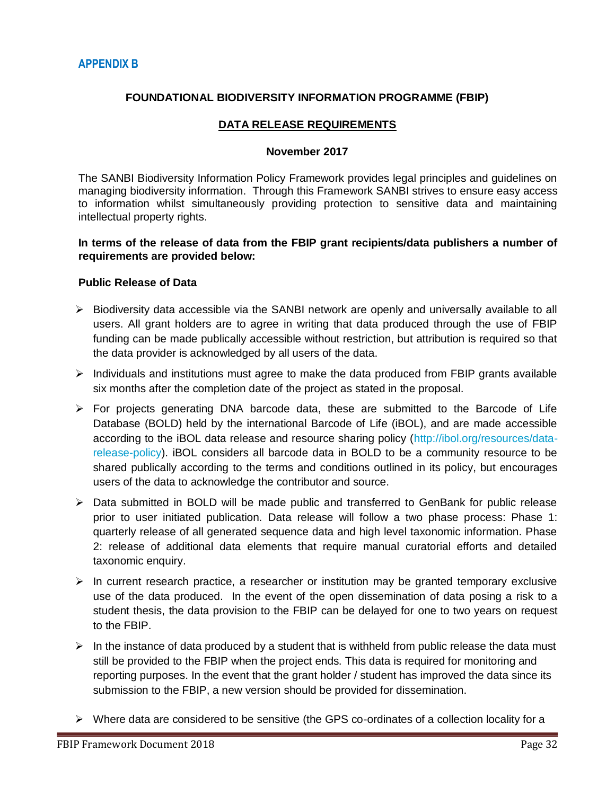## **FOUNDATIONAL BIODIVERSITY INFORMATION PROGRAMME (FBIP)**

#### **DATA RELEASE REQUIREMENTS**

#### **November 2017**

The SANBI Biodiversity Information Policy Framework provides legal principles and guidelines on managing biodiversity information. Through this Framework SANBI strives to ensure easy access to information whilst simultaneously providing protection to sensitive data and maintaining intellectual property rights.

#### **In terms of the release of data from the FBIP grant recipients/data publishers a number of requirements are provided below:**

#### **Public Release of Data**

- $\triangleright$  Biodiversity data accessible via the SANBI network are openly and universally available to all users. All grant holders are to agree in writing that data produced through the use of FBIP funding can be made publically accessible without restriction, but attribution is required so that the data provider is acknowledged by all users of the data.
- $\triangleright$  Individuals and institutions must agree to make the data produced from FBIP grants available six months after the completion date of the project as stated in the proposal.
- $\triangleright$  For projects generating DNA barcode data, these are submitted to the Barcode of Life Database (BOLD) held by the international Barcode of Life (iBOL), and are made accessible according to the iBOL data release and resource sharing policy [\(http://ibol.org/resources/data](http://ibol.org/resources/data-release-policy)[release-policy\)](http://ibol.org/resources/data-release-policy). iBOL considers all barcode data in BOLD to be a community resource to be shared publically according to the terms and conditions outlined in its policy, but encourages users of the data to acknowledge the contributor and source.
- $\triangleright$  Data submitted in BOLD will be made public and transferred to GenBank for public release prior to user initiated publication. Data release will follow a two phase process: Phase 1: quarterly release of all generated sequence data and high level taxonomic information. Phase 2: release of additional data elements that require manual curatorial efforts and detailed taxonomic enquiry.
- $\triangleright$  In current research practice, a researcher or institution may be granted temporary exclusive use of the data produced. In the event of the open dissemination of data posing a risk to a student thesis, the data provision to the FBIP can be delayed for one to two years on request to the FBIP.
- $\triangleright$  In the instance of data produced by a student that is withheld from public release the data must still be provided to the FBIP when the project ends. This data is required for monitoring and reporting purposes. In the event that the grant holder / student has improved the data since its submission to the FBIP, a new version should be provided for dissemination.
- $\triangleright$  Where data are considered to be sensitive (the GPS co-ordinates of a collection locality for a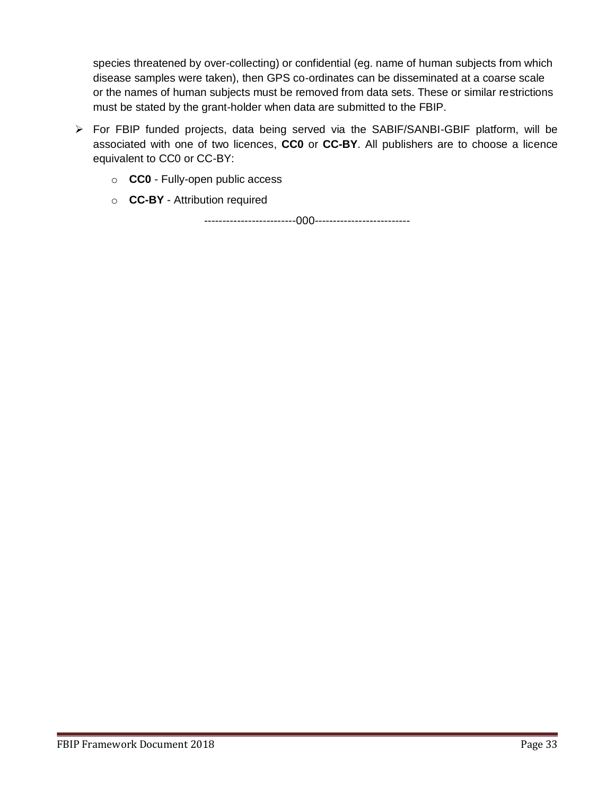species threatened by over-collecting) or confidential (eg. name of human subjects from which disease samples were taken), then GPS co-ordinates can be disseminated at a coarse scale or the names of human subjects must be removed from data sets. These or similar restrictions must be stated by the grant-holder when data are submitted to the FBIP.

- For FBIP funded projects, data being served via the SABIF/SANBI-GBIF platform, will be associated with one of two licences, **CC0** or **CC-BY**. All publishers are to choose a licence equivalent to CC0 or CC-BY:
	- o **CC0** Fully-open public access
	- o **CC-BY** Attribution required

-------------------------000--------------------------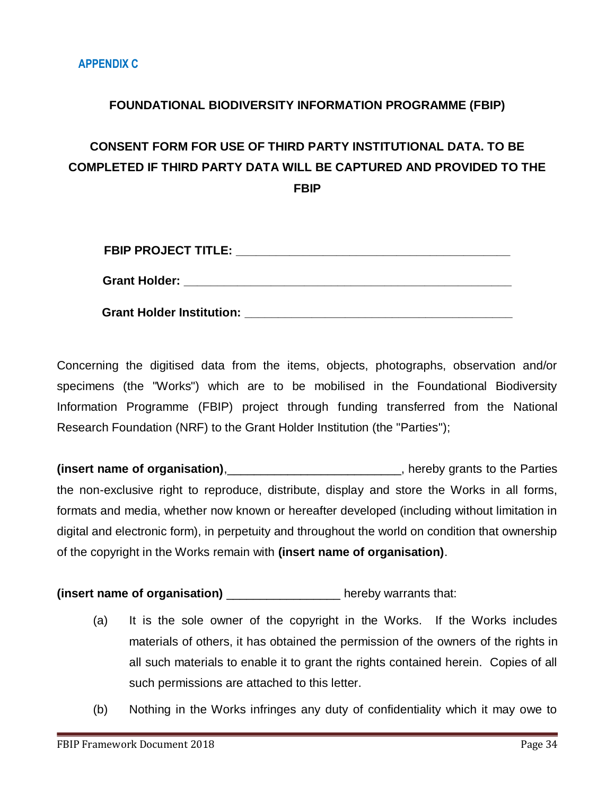# **FOUNDATIONAL BIODIVERSITY INFORMATION PROGRAMME (FBIP)**

# **CONSENT FORM FOR USE OF THIRD PARTY INSTITUTIONAL DATA. TO BE COMPLETED IF THIRD PARTY DATA WILL BE CAPTURED AND PROVIDED TO THE FBIP**

| <b>FBIP PROJECT TITLE:</b>       |  |
|----------------------------------|--|
| <b>Grant Holder:</b>             |  |
| <b>Grant Holder Institution:</b> |  |

Concerning the digitised data from the items, objects, photographs, observation and/or specimens (the "Works") which are to be mobilised in the Foundational Biodiversity Information Programme (FBIP) project through funding transferred from the National Research Foundation (NRF) to the Grant Holder Institution (the "Parties");

**(insert name of organisation)**,\_\_\_\_\_\_\_\_\_\_\_\_\_\_\_\_\_\_\_\_\_\_\_\_\_\_, hereby grants to the Parties the non-exclusive right to reproduce, distribute, display and store the Works in all forms, formats and media, whether now known or hereafter developed (including without limitation in digital and electronic form), in perpetuity and throughout the world on condition that ownership of the copyright in the Works remain with **(insert name of organisation)**.

**(insert name of organisation)** \_\_\_\_\_\_\_\_\_\_\_\_\_\_\_\_\_ hereby warrants that:

- (a) It is the sole owner of the copyright in the Works. If the Works includes materials of others, it has obtained the permission of the owners of the rights in all such materials to enable it to grant the rights contained herein. Copies of all such permissions are attached to this letter.
- (b) Nothing in the Works infringes any duty of confidentiality which it may owe to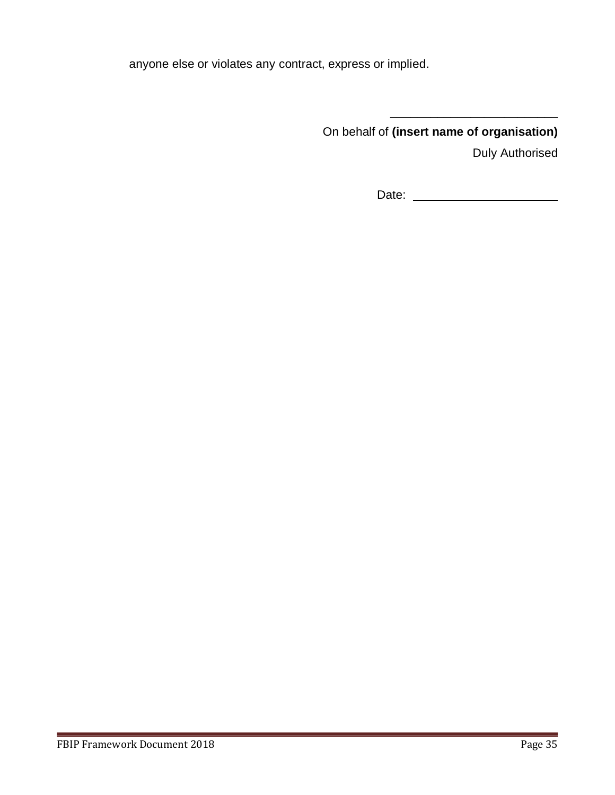anyone else or violates any contract, express or implied.

On behalf of **(insert name of organisation)**

Duly Authorised

Date:

\_\_\_\_\_\_\_\_\_\_\_\_\_\_\_\_\_\_\_\_\_\_\_\_\_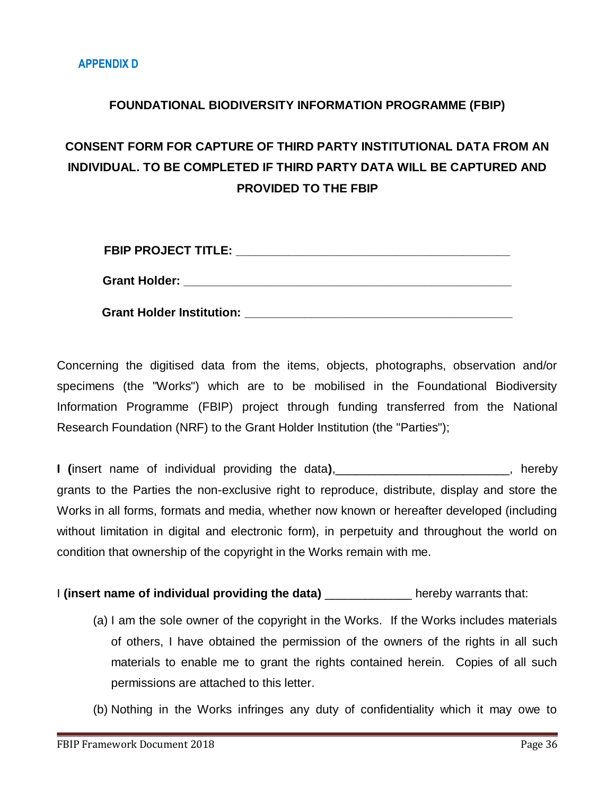# **FOUNDATIONAL BIODIVERSITY INFORMATION PROGRAMME (FBIP)**

# **CONSENT FORM FOR CAPTURE OF THIRD PARTY INSTITUTIONAL DATA FROM AN INDIVIDUAL. TO BE COMPLETED IF THIRD PARTY DATA WILL BE CAPTURED AND PROVIDED TO THE FBIP**

| <b>FBIP PROJECT TITLE:</b>       |  |
|----------------------------------|--|
| <b>Grant Holder:</b>             |  |
| <b>Grant Holder Institution:</b> |  |

Concerning the digitised data from the items, objects, photographs, observation and/or specimens (the "Works") which are to be mobilised in the Foundational Biodiversity Information Programme (FBIP) project through funding transferred from the National Research Foundation (NRF) to the Grant Holder Institution (the "Parties");

**I (**insert name of individual providing the data**)**,\_\_\_\_\_\_\_\_\_\_\_\_\_\_\_\_\_\_\_\_\_\_\_\_\_\_, hereby grants to the Parties the non-exclusive right to reproduce, distribute, display and store the Works in all forms, formats and media, whether now known or hereafter developed (including without limitation in digital and electronic form), in perpetuity and throughout the world on condition that ownership of the copyright in the Works remain with me.

I **(insert name of individual providing the data)** \_\_\_\_\_\_\_\_\_\_\_\_\_ hereby warrants that:

- (a) I am the sole owner of the copyright in the Works. If the Works includes materials of others, I have obtained the permission of the owners of the rights in all such materials to enable me to grant the rights contained herein. Copies of all such permissions are attached to this letter.
- (b) Nothing in the Works infringes any duty of confidentiality which it may owe to